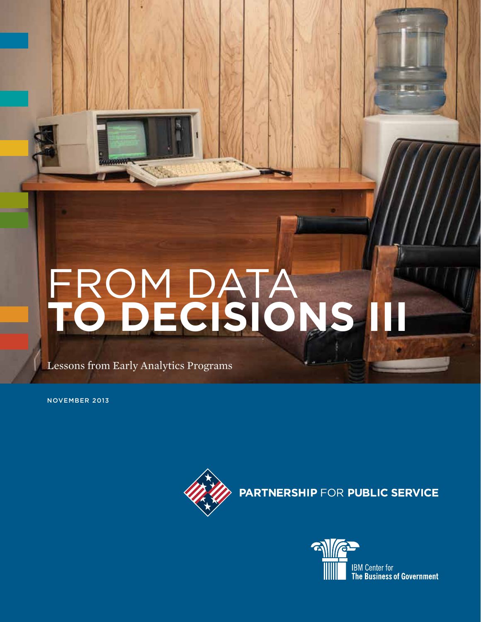# FROM DATA **TO DECISIONS III**

Lessons from Early Analytics Programs

NOVEMBER 2013



**PARTNERSHIP FOR PUBLIC SERVICE** 

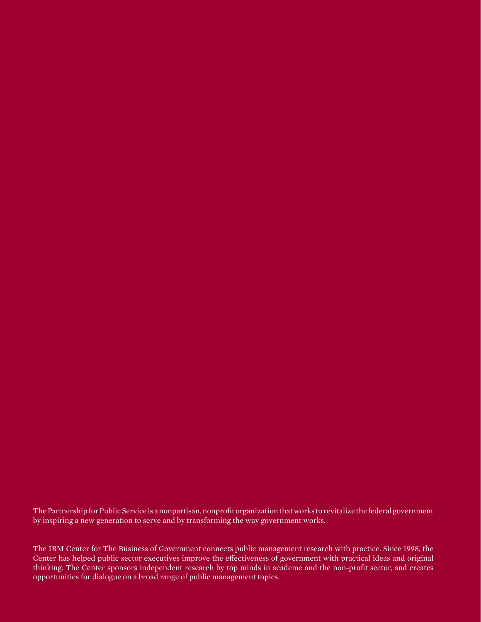The Partnership for Public Service is a nonpartisan, nonprofit organization that works to revitalize the federal government by inspiring a new generation to serve and by transforming the way government works.

The IBM Center for The Business of Government connects public management research with practice. Since 1998, the Center has helped public sector executives improve the effectiveness of government with practical ideas and original thinking. The Center sponsors independent research by top minds in academe and the non-profit sector, and creates opportunities for dialogue on a broad range of public management topics.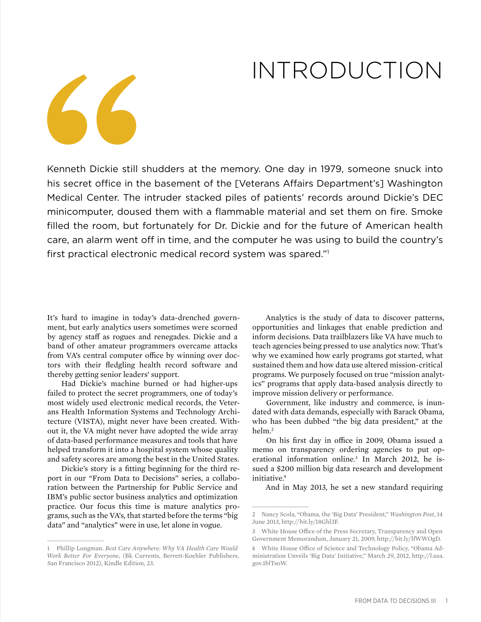## INTRODUCTION

Kenneth Dickie still shudders at the memory. One day in 1979, someone snuck into his secret office in the basement of the [Veterans Affairs Department's] Washington Medical Center. The intruder stacked piles of patients' records around Dickie's DEC minicomputer, doused them with a flammable material and set them on fire. Smoke filled the room, but fortunately for Dr. Dickie and for the future of American health care, an alarm went off in time, and the computer he was using to build the country's first practical electronic medical record system was spared."1

It's hard to imagine in today's data-drenched government, but early analytics users sometimes were scorned by agency staff as rogues and renegades. Dickie and a band of other amateur programmers overcame attacks from VA's central computer office by winning over doctors with their fledgling health record software and thereby getting senior leaders' support.

Had Dickie's machine burned or had higher-ups failed to protect the secret programmers, one of today's most widely used electronic medical records, the Veterans Health Information Systems and Technology Architecture (VISTA), might never have been created. Without it, the VA might never have adopted the wide array of data-based performance measures and tools that have helped transform it into a hospital system whose quality and safety scores are among the best in the United States.

Dickie's story is a fitting beginning for the third report in our "From Data to Decisions" series, a collaboration between the Partnership for Public Service and IBM's public sector business analytics and optimization practice. Our focus this time is mature analytics programs, such as the VA's, that started before the terms "big data" and "analytics" were in use, let alone in vogue.

Analytics is the study of data to discover patterns, opportunities and linkages that enable prediction and inform decisions. Data trailblazers like VA have much to teach agencies being pressed to use analytics now. That's why we examined how early programs got started, what sustained them and how data use altered mission-critical programs. We purposely focused on true "mission analytics" programs that apply data-based analysis directly to improve mission delivery or performance.

Government, like industry and commerce, is inundated with data demands, especially with Barack Obama, who has been dubbed "the big data president," at the helm.2

On his first day in office in 2009, Obama issued a memo on transparency ordering agencies to put operational information online.<sup>3</sup> In March 2012, he issued a \$200 million big data research and development initiative.<sup>4</sup>

And in May 2013, he set a new standard requiring

<sup>1</sup> Phillip Longman. *Best Care Anywhere: Why VA Health Care Would Work Better For Everyone*, (Bk Currents, Berrett-Koehler Publishers, San Francisco 2012), Kindle Edition, 23.

<sup>2</sup> Nancy Scola, "Obama, the 'Big Data' President," *Washington Post*, 14 June 2013, http://bit.ly/18Ghl3F.

<sup>3</sup> White House Office of the Press Secretary, Transparency and Open Government Memorandum, January 21, 2009, http://bit.ly/lfWWOgD.

<sup>4</sup> White House Office of Science and Technology Policy, "Obama Administration Unveils 'Big Data' Initiative," March 29, 2012, http://l.usa. gov.1blTsoW.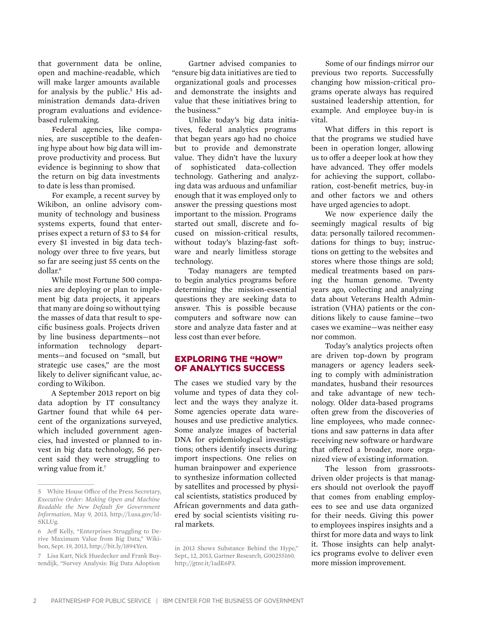that government data be online, open and machine-readable, which will make larger amounts available for analysis by the public.<sup>5</sup> His administration demands data-driven program evaluations and evidencebased rulemaking.

Federal agencies, like companies, are susceptible to the deafening hype about how big data will improve productivity and process. But evidence is beginning to show that the return on big data investments to date is less than promised.

For example, a recent survey by Wikibon, an online advisory community of technology and business systems experts, found that enterprises expect a return of \$3 to \$4 for every \$1 invested in big data technology over three to five years, but so far are seeing just 55 cents on the dollar.6

While most Fortune 500 companies are deploying or plan to implement big data projects, it appears that many are doing so without tying the masses of data that result to specific business goals. Projects driven by line business departments—not information technology departments—and focused on "small, but strategic use cases," are the most likely to deliver significant value, according to Wikibon.

A September 2013 report on big data adoption by IT consultancy Gartner found that while 64 percent of the organizations surveyed, which included government agencies, had invested or planned to invest in big data technology, 56 percent said they were struggling to wring value from it.<sup>7</sup>

Gartner advised companies to "ensure big data initiatives are tied to organizational goals and processes and demonstrate the insights and value that these initiatives bring to the business."

Unlike today's big data initiatives, federal analytics programs that began years ago had no choice but to provide and demonstrate value. They didn't have the luxury of sophisticated data-collection technology. Gathering and analyzing data was arduous and unfamiliar enough that it was employed only to answer the pressing questions most important to the mission. Programs started out small, discrete and focused on mission-critical results, without today's blazing-fast software and nearly limitless storage technology.

Today managers are tempted to begin analytics programs before determining the mission-essential questions they are seeking data to answer. This is possible because computers and software now can store and analyze data faster and at less cost than ever before.

#### Exploring the "How" of Analytics Success

The cases we studied vary by the volume and types of data they collect and the ways they analyze it. Some agencies operate data warehouses and use predictive analytics. Some analyze images of bacterial DNA for epidemiological investigations; others identify insects during import inspections. One relies on human brainpower and experience to synthesize information collected by satellites and processed by physical scientists, statistics produced by African governments and data gathered by social scientists visiting rural markets.

Some of our findings mirror our previous two reports. Successfully changing how mission-critical programs operate always has required sustained leadership attention, for example. And employee buy-in is vital.

What differs in this report is that the programs we studied have been in operation longer, allowing us to offer a deeper look at how they have advanced. They offer models for achieving the support, collaboration, cost-benefit metrics, buy-in and other factors we and others have urged agencies to adopt.

We now experience daily the seemingly magical results of big data: personally tailored recommendations for things to buy; instructions on getting to the websites and stores where those things are sold; medical treatments based on parsing the human genome. Twenty years ago, collecting and analyzing data about Veterans Health Administration (VHA) patients or the conditions likely to cause famine—two cases we examine—was neither easy nor common.

Today's analytics projects often are driven top-down by program managers or agency leaders seeking to comply with administration mandates, husband their resources and take advantage of new technology. Older data-based programs often grew from the discoveries of line employees, who made connections and saw patterns in data after receiving new software or hardware that offered a broader, more organized view of existing information.

The lesson from grassrootsdriven older projects is that managers should not overlook the payoff that comes from enabling employees to see and use data organized for their needs. Giving this power to employees inspires insights and a thirst for more data and ways to link it. Those insights can help analytics programs evolve to deliver even more mission improvement.

<sup>5</sup> White House Office of the Press Secretary, *Executive Order: Making Open and Machine Readable the New Default for Government Information*, May 9, 2013, http://l.usa.gov/ld-SKLUg.

<sup>6</sup> Jeff Kelly, "Enterprises Struggling to Derive Maximum Value from Big Data," Wikibon, Sept. 19, 2013, http://bit.ly/1894Yen.

<sup>7</sup> Lisa Kart, Nick Huedecker and Frank Buytendijk, "Survey Analysis: Big Data Adoption

in 2013 Shows Substance Behind the Hype," Sept., 12, 2013, Gartner Research, G00255160. http://gtnr.it/1adE6P3.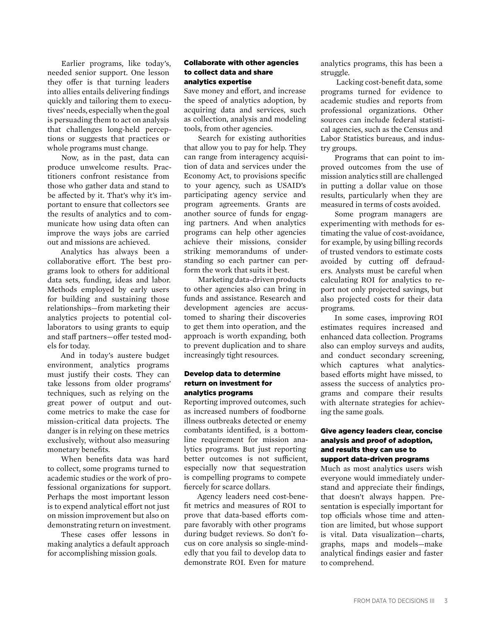Earlier programs, like today's, needed senior support. One lesson they offer is that turning leaders into allies entails delivering findings quickly and tailoring them to executives' needs, especially when the goal is persuading them to act on analysis that challenges long-held perceptions or suggests that practices or whole programs must change.

Now, as in the past, data can produce unwelcome results. Practitioners confront resistance from those who gather data and stand to be affected by it. That's why it's important to ensure that collectors see the results of analytics and to communicate how using data often can improve the ways jobs are carried out and missions are achieved.

Analytics has always been a collaborative effort. The best programs look to others for additional data sets, funding, ideas and labor. Methods employed by early users for building and sustaining those relationships—from marketing their analytics projects to potential collaborators to using grants to equip and staff partners—offer tested models for today.

And in today's austere budget environment, analytics programs must justify their costs. They can take lessons from older programs' techniques, such as relying on the great power of output and outcome metrics to make the case for mission-critical data projects. The danger is in relying on these metrics exclusively, without also measuring monetary benefits.

When benefits data was hard to collect, some programs turned to academic studies or the work of professional organizations for support. Perhaps the most important lesson is to expend analytical effort not just on mission improvement but also on demonstrating return on investment.

These cases offer lessons in making analytics a default approach for accomplishing mission goals.

#### Collaborate with other agencies to collect data and share analytics expertise

Save money and effort, and increase the speed of analytics adoption, by acquiring data and services, such as collection, analysis and modeling tools, from other agencies.

Search for existing authorities that allow you to pay for help. They can range from interagency acquisition of data and services under the Economy Act, to provisions specific to your agency, such as USAID's participating agency service and program agreements. Grants are another source of funds for engaging partners. And when analytics programs can help other agencies achieve their missions, consider striking memorandums of understanding so each partner can perform the work that suits it best.

Marketing data-driven products to other agencies also can bring in funds and assistance. Research and development agencies are accustomed to sharing their discoveries to get them into operation, and the approach is worth expanding, both to prevent duplication and to share increasingly tight resources.

#### Develop data to determine return on investment for analytics programs

Reporting improved outcomes, such as increased numbers of foodborne illness outbreaks detected or enemy combatants identified, is a bottomline requirement for mission analytics programs. But just reporting better outcomes is not sufficient, especially now that sequestration is compelling programs to compete fiercely for scarce dollars.

Agency leaders need cost-benefit metrics and measures of ROI to prove that data-based efforts compare favorably with other programs during budget reviews. So don't focus on core analysis so single-mindedly that you fail to develop data to demonstrate ROI. Even for mature

analytics programs, this has been a struggle.

 Lacking cost-benefit data, some programs turned for evidence to academic studies and reports from professional organizations. Other sources can include federal statistical agencies, such as the Census and Labor Statistics bureaus, and industry groups.

Programs that can point to improved outcomes from the use of mission analytics still are challenged in putting a dollar value on those results, particularly when they are measured in terms of costs avoided.

Some program managers are experimenting with methods for estimating the value of cost-avoidance, for example, by using billing records of trusted vendors to estimate costs avoided by cutting off defrauders. Analysts must be careful when calculating ROI for analytics to report not only projected savings, but also projected costs for their data programs.

In some cases, improving ROI estimates requires increased and enhanced data collection. Programs also can employ surveys and audits, and conduct secondary screening, which captures what analyticsbased efforts might have missed, to assess the success of analytics programs and compare their results with alternate strategies for achieving the same goals.

#### Give agency leaders clear, concise analysis and proof of adoption, and results they can use to support data-driven programs

Much as most analytics users wish everyone would immediately understand and appreciate their findings, that doesn't always happen. Presentation is especially important for top officials whose time and attention are limited, but whose support is vital. Data visualization—charts, graphs, maps and models—make analytical findings easier and faster to comprehend.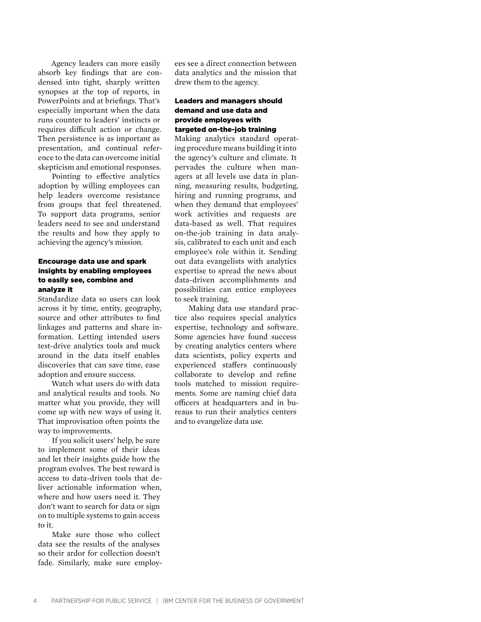Agency leaders can more easily absorb key findings that are condensed into tight, sharply written synopses at the top of reports, in PowerPoints and at briefings. That's especially important when the data runs counter to leaders' instincts or requires difficult action or change. Then persistence is as important as presentation, and continual reference to the data can overcome initial skepticism and emotional responses.

Pointing to effective analytics adoption by willing employees can help leaders overcome resistance from groups that feel threatened. To support data programs, senior leaders need to see and understand the results and how they apply to achieving the agency's mission.

#### Encourage data use and spark insights by enabling employees to easily see, combine and analyze it

Standardize data so users can look across it by time, entity, geography, source and other attributes to find linkages and patterns and share information. Letting intended users test-drive analytics tools and muck around in the data itself enables discoveries that can save time, ease adoption and ensure success.

Watch what users do with data and analytical results and tools. No matter what you provide, they will come up with new ways of using it. That improvisation often points the way to improvements.

If you solicit users' help, be sure to implement some of their ideas and let their insights guide how the program evolves. The best reward is access to data-driven tools that deliver actionable information when, where and how users need it. They don't want to search for data or sign on to multiple systems to gain access to it.

Make sure those who collect data see the results of the analyses so their ardor for collection doesn't fade. Similarly, make sure employees see a direct connection between data analytics and the mission that drew them to the agency.

#### Leaders and managers should demand and use data and provide employees with targeted on-the-job training

Making analytics standard operating procedure means building it into the agency's culture and climate. It pervades the culture when managers at all levels use data in planning, measuring results, budgeting, hiring and running programs, and when they demand that employees' work activities and requests are data-based as well. That requires on-the-job training in data analysis, calibrated to each unit and each employee's role within it. Sending out data evangelists with analytics expertise to spread the news about data-driven accomplishments and possibilities can entice employees to seek training.

Making data use standard practice also requires special analytics expertise, technology and software. Some agencies have found success by creating analytics centers where data scientists, policy experts and experienced staffers continuously collaborate to develop and refine tools matched to mission requirements. Some are naming chief data officers at headquarters and in bureaus to run their analytics centers and to evangelize data use.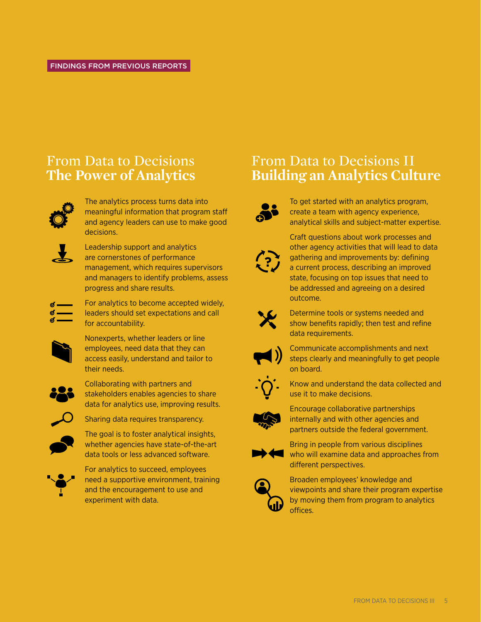### From Data to Decisions **The Power of Analytics**



The analytics process turns data into meaningful information that program staff and agency leaders can use to make good decisions.



Leadership support and analytics are cornerstones of performance management, which requires supervisors and managers to identify problems, assess progress and share results.

For analytics to become accepted widely, leaders should set expectations and call for accountability.



 $\sigma$  —  $\sigma$  –

> Nonexperts, whether leaders or line employees, need data that they can access easily, understand and tailor to their needs.



Collaborating with partners and stakeholders enables agencies to share data for analytics use, improving results.



Sharing data requires transparency.

The goal is to foster analytical insights, whether agencies have state-of-the-art data tools or less advanced software.



For analytics to succeed, employees need a supportive environment, training and the encouragement to use and experiment with data.

### From Data to Decisions II **Building an Analytics Culture**



To get started with an analytics program, create a team with agency experience, analytical skills and subject-matter expertise.



Craft questions about work processes and other agency activities that will lead to data gathering and improvements by: defining a current process, describing an improved state, focusing on top issues that need to be addressed and agreeing on a desired outcome.



Determine tools or systems needed and show benefits rapidly; then test and refine data requirements.



Communicate accomplishments and next steps clearly and meaningfully to get people on board.



Know and understand the data collected and use it to make decisions.



Encourage collaborative partnerships internally and with other agencies and partners outside the federal government.



Bring in people from various disciplines who will examine data and approaches from different perspectives.



Broaden employees' knowledge and viewpoints and share their program expertise by moving them from program to analytics offices.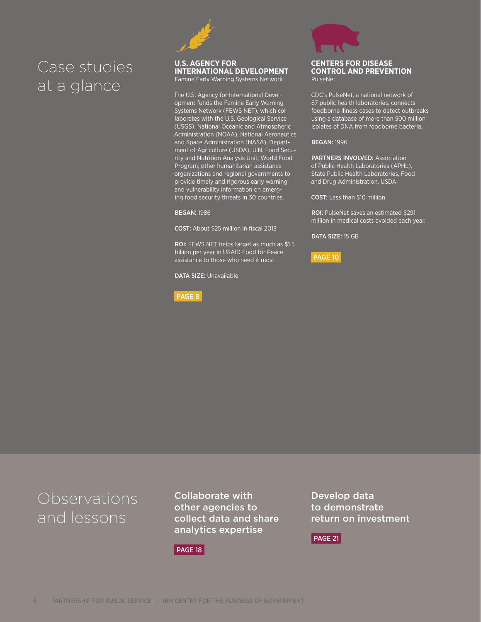### Case studies at a glance



#### **U.S. Agency for International Development**

Famine Early Warning Systems Network

The U.S. Agency for International Development funds the Famine Early Warning Systems Network (FEWS NET), which collaborates with the U.S. Geological Service (USGS), National Oceanic and Atmospheric Administration (NOAA), National Aeronautics and Space Administration (NASA), Department of Agriculture (USDA), U.N. Food Security and Nutrition Analysis Unit, World Food Program, other humanitarian assistance organizations and regional governments to provide timely and rigorous early warning and vulnerability information on emerging food security threats in 30 countries.

Began: 1986

COST: About \$25 million in fiscal 2013

ROI: FEWS NET helps target as much as \$1.5 billion per year in USAID Food for Peace assistance to those who need it most.

DATA SIZE: Unavailable

#### PAGE 8



#### **Centers for Disease Control and Prevention** PulseNet

CDC's PulseNet, a national network of 87 public health laboratories, connects foodborne illness cases to detect outbreaks using a database of more than 500 million isolates of DNA from foodborne bacteria.

#### Began: 1996

PARTNERS INVOLVED: Association of Public Health Laboratories (APHL), State Public Health Laboratories, Food and Drug Administration, USDA

COST: Less than \$10 million

ROI: PulseNet saves an estimated \$291 million in medical costs avoided each year.

DATA SIZE: 15 GB

PAGE 10

### Observations and lessons

Collaborate with other agencies to collect data and share analytics expertise

PAGE 18

Develop data to demonstrate return on investment

PAGE 21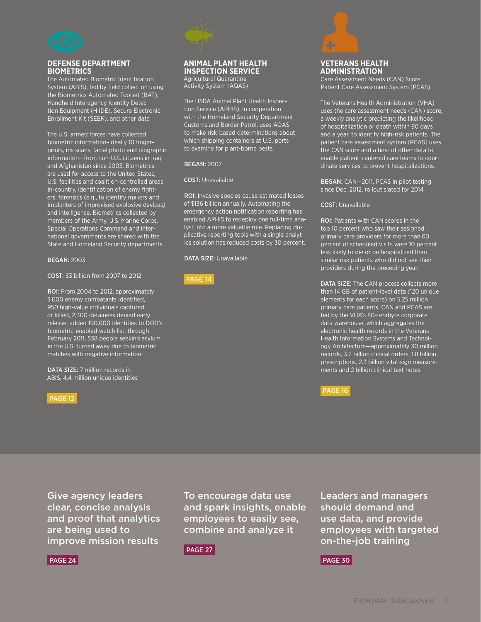

#### **Defense Department Biometrics**

The Automated Biometric Identification System (ABIS), fed by field collection using the Biometrics Automated Toolset (BAT), Handheld Interagency Identity Detection Equipment (HIIDE), Secure Electronic Enrollment Kit (SEEK), and other data

The U.S. armed forces have collected biometric information–ideally 10 fingerprints, iris scans, facial photo and biographic information—from non-U.S. citizens in Iraq and Afghanistan since 2003. Biometrics are used for access to the United States, U.S. facilities and coalition-controlled areas in-country, identification of enemy fighters, forensics (e.g., to identify makers and implanters of improvised explosive devices) and intelligence. Biometrics collected by members of the Army, U.S. Marine Corps, Special Operations Command and international governments are shared with the State and Homeland Security departments.

#### Began: 2003

Cost: \$3 billion from 2007 to 2012

ROI: From 2004 to 2012, approximately 3,000 enemy combatants identified, 950 high-value individuals captured or killed, 2,300 detainees denied early release; added 190,000 identities to DOD's biometric-enabled watch list; through February 2011, 538 people seeking asylum in the U.S. turned away due to biometric matches with negative information.

DATA SIZE: 7 million records in ABIS, 4.4 million unique identities

#### PAGE 12



Agricultural Quarantine Activity System (AQAS)

The USDA Animal Plant Health Inspection Service (APHIS), in cooperation with the Homeland Security Department Customs and Border Patrol, uses AQAS to make risk-based determinations about which shipping containers at U.S. ports to examine for plant-borne pests.

#### Began: 2007

#### **COST: Unavailable**

ROI: Invasive species cause estimated losses of \$136 billion annually. Automating the emergency action notification reporting has enabled APHIS to redeploy one full-time analyst into a more valuable role. Replacing duplicative reporting tools with a single analytics solution has reduced costs by 30 percent.

DATA SIZE: Unavailable

#### PAGE 14



#### **Veterans Health Administration**

Care Assessment Needs (CAN) Score Patient Care Assessment System (PCAS)

The Veterans Health Administration (VHA) uses the care assessment needs (CAN) score, a weekly analytic predicting the likelihood of hospitalization or death within 90 days and a year, to identify high-risk patients. The patient care assessment system (PCAS) uses the CAN score and a host of other data to enable patient-centered care teams to coordinate services to prevent hospitalizations.

Began: CAN—2011, PCAS in pilot testing since Dec. 2012, rollout slated for 2014

#### COST: Unavailable

ROI: Patients with CAN scores in the top 10 percent who saw their assigned primary care providers for more than 60 percent of scheduled visits were 10 percent ss likely to die or be hospitalized than similar risk patients who did not see their providers during the preceding year.

DATA SIZE: The CAN process collects more than 14 GB of patient-level data (120 unique elements for each score) on 5.25 million primary care patients. CAN and PCAS are fed by the VHA's 80-terabyte corporate data warehouse, which aggregates the electronic health records in the Veterans Health Information Systems and Technology Architecture—approximately 30 million records, 3.2 billion clinical orders, 1.8 billion prescriptions, 2.3 billion vital-sign measurements and 2 billion clinical text notes.

PAGE 16

Give agency leaders clear, concise analysis and proof that analytics are being used to improve mission results

To encourage data use and spark insights, enable employees to easily see, combine and analyze it

should demand and use data, and provide employees with targeted on-the-job training

Leaders and managers

#### PAGE 24

PAGE 27

PAGE 30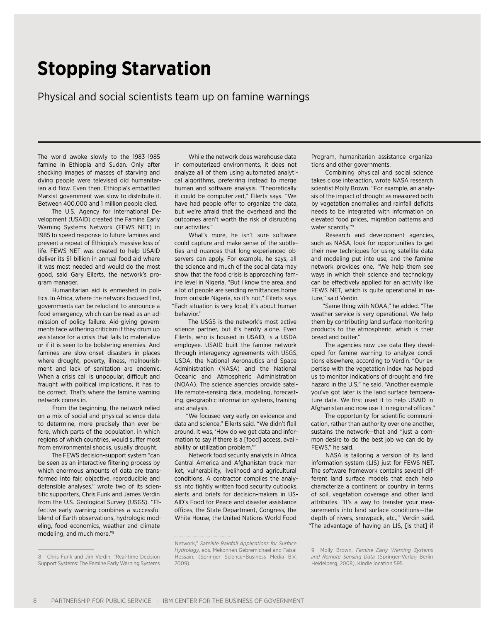## **Stopping Starvation**

Physical and social scientists team up on famine warnings

The world awoke slowly to the 1983–1985 famine in Ethiopia and Sudan. Only after shocking images of masses of starving and dying people were televised did humanitarian aid flow. Even then, Ethiopia's embattled Marxist government was slow to distribute it. Between 400,000 and 1 million people died.

The U.S. Agency for International Development (USAID) created the Famine Early Warning Systems Network (FEWS NET) in 1985 to speed response to future famines and prevent a repeat of Ethiopia's massive loss of life. FEWS NET was created to help USAID deliver its \$1 billion in annual food aid where it was most needed and would do the most good, said Gary Eilerts, the network's program manager.

Humanitarian aid is enmeshed in politics. In Africa, where the network focused first, governments can be reluctant to announce a food emergency, which can be read as an admission of policy failure. Aid-giving governments face withering criticism if they drum up assistance for a crisis that fails to materialize or if it is seen to be bolstering enemies. And famines are slow-onset disasters in places where drought, poverty, illness, malnourishment and lack of sanitation are endemic. When a crisis call is unpopular, difficult and fraught with political implications, it has to be correct. That's where the famine warning network comes in.

From the beginning, the network relied on a mix of social and physical science data to determine, more precisely than ever before, which parts of the population, in which regions of which countries, would suffer most from environmental shocks, usually drought.

The FEWS decision-support system "can be seen as an interactive filtering process by which enormous amounts of data are transformed into fair, objective, reproducible and defensible analyses," wrote two of its scientific supporters, Chris Funk and James Verdin from the U.S. Geological Survey (USGS). "Effective early warning combines a successful blend of Earth observations, hydrologic modeling, food economics, weather and climate modeling, and much more."8

While the network does warehouse data in computerized environments, it does not analyze all of them using automated analytical algorithms, preferring instead to merge human and software analysis. "Theoretically it could be computerized," Eilerts says. "We have had people offer to organize the data, but we're afraid that the overhead and the outcomes aren't worth the risk of disrupting our activities."

What's more, he isn't sure software could capture and make sense of the subtleties and nuances that long-experienced observers can apply. For example, he says, all the science and much of the social data may show that the food crisis is approaching famine level in Nigeria. "But I know the area, and a lot of people are sending remittances home from outside Nigeria, so it's not," Eilerts says. "Each situation is very local; it's about human behavior."

The USGS is the network's most active science partner, but it's hardly alone. Even Eilerts, who is housed in USAID, is a USDA employee. USAID built the famine network through interagency agreements with USGS, USDA, the National Aeronautics and Space Administration (NASA) and the National Oceanic and Atmospheric Administration (NOAA). The science agencies provide satellite remote-sensing data, modeling, forecasting, geographic information systems, training and analysis.

"We focused very early on evidence and data and science," Eilerts said. "We didn't flail around. It was, 'How do we get data and information to say if there is a [food] access, availability or utilization problem.'"

Network food security analysts in Africa, Central America and Afghanistan track market, vulnerability, livelihood and agricultural conditions. A contractor compiles the analysis into tightly written food security outlooks, alerts and briefs for decision-makers in US-AID's Food for Peace and disaster assistance offices, the State Department, Congress, the White House, the United Nations World Food

Program, humanitarian assistance organizations and other governments.

Combining physical and social science takes close interaction, wrote NASA research scientist Molly Brown. "For example, an analysis of the impact of drought as measured both by vegetation anomalies and rainfall deficits needs to be integrated with information on elevated food prices, migration patterns and water scarcity."9

Research and development agencies, such as NASA, look for opportunities to get their new techniques for using satellite data and modeling put into use, and the famine network provides one. "We help them see ways in which their science and technology can be effectively applied for an activity like FEWS NET, which is quite operational in nature," said Verdin.

"Same thing with NOAA," he added. "The weather service is very operational. We help them by contributing land surface monitoring products to the atmospheric, which is their bread and butter."

The agencies now use data they developed for famine warning to analyze conditions elsewhere, according to Verdin. "Our expertise with the vegetation index has helped us to monitor indications of drought and fire hazard in the U.S," he said. "Another example you've got later is the land surface temperature data. We first used it to help USAID in Afghanistan and now use it in regional offices."

The opportunity for scientific communication, rather than authority over one another, sustains the network—that and "just a common desire to do the best job we can do by FEWS," he said.

NASA is tailoring a version of its land information system (LIS) just for FEWS NET. The software framework contains several different land surface models that each help characterize a continent or country in terms of soil, vegetation coverage and other land attributes. "It's a way to transfer your measurements into land surface conditions—the depth of rivers, snowpack, etc.," Verdin said. "The advantage of having an LIS, [is that] if

<sup>8</sup> Chris Funk and Jim Verdin, "Real-time Decision Support Systems: The Famine Early Warning Systems

Network," *Satellite Rainfall Applications for Surface Hydrology*, eds. Mekonnen Gebremichael and Faisal Hossain, (Springer Science+Business Media B.V., 2009).

<sup>9</sup> Molly Brown, *Famine Early Warning Systems and Remote Sensing Data* (Springer-Verlag Berlin Heidelberg, 2008), Kindle location 595.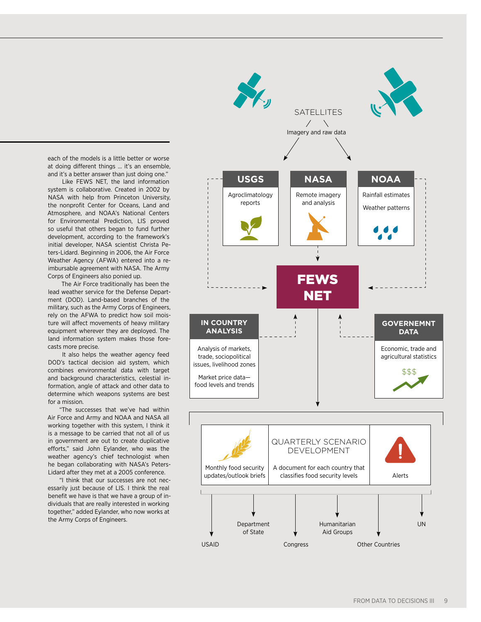each of the models is a little better or worse at doing different things … it's an ensemble, and it's a better answer than just doing one."

Like FEWS NET, the land information system is collaborative. Created in 2002 by NASA with help from Princeton University, the nonprofit Center for Oceans, Land and Atmosphere, and NOAA's National Centers for Environmental Prediction, LIS proved so useful that others began to fund further development, according to the framework's initial developer, NASA scientist Christa Peters-Lidard. Beginning in 2006, the Air Force Weather Agency (AFWA) entered into a reimbursable agreement with NASA. The Army Corps of Engineers also ponied up.

The Air Force traditionally has been the lead weather service for the Defense Department (DOD). Land-based branches of the military, such as the Army Corps of Engineers, rely on the AFWA to predict how soil moisture will affect movements of heavy military equipment wherever they are deployed. The land information system makes those forecasts more precise.

It also helps the weather agency feed DOD's tactical decision aid system, which combines environmental data with target and background characteristics, celestial information, angle of attack and other data to determine which weapons systems are best for a mission.

"The successes that we've had within Air Force and Army and NOAA and NASA all working together with this system, I think it is a message to be carried that not all of us in government are out to create duplicative efforts," said John Eylander, who was the weather agency's chief technologist when he began collaborating with NASA's Peters-Lidard after they met at a 2005 conference.

"I think that our successes are not necessarily just because of LIS. I think the real benefit we have is that we have a group of individuals that are really interested in working together," added Eylander, who now works at the Army Corps of Engineers.

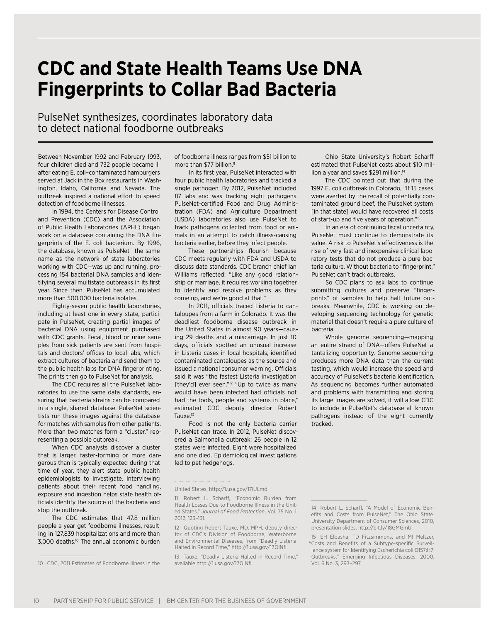## **CDC and State Health Teams Use DNA Fingerprints to Collar Bad Bacteria**

PulseNet synthesizes, coordinates laboratory data to detect national foodborne outbreaks

Between November 1992 and February 1993, four children died and 732 people became ill after eating E. coli–contaminated hamburgers served at Jack in the Box restaurants in Washington, Idaho, California and Nevada. The outbreak inspired a national effort to speed detection of foodborne illnesses.

In 1994, the Centers for Disease Control and Prevention (CDC) and the Association of Public Health Laboratories (APHL) began work on a database containing the DNA fingerprints of the E. coli bacterium. By 1996, the database, known as PulseNet—the same name as the network of state laboratories working with CDC—was up and running, processing 154 bacterial DNA samples and identifying several multistate outbreaks in its first year. Since then, PulseNet has accumulated more than 500,000 bacteria isolates.

Eighty-seven public health laboratories, including at least one in every state, participate in PulseNet, creating partial images of bacterial DNA using equipment purchased with CDC grants. Fecal, blood or urine samples from sick patients are sent from hospitals and doctors' offices to local labs, which extract cultures of bacteria and send them to the public health labs for DNA fingerprinting. The prints then go to PulseNet for analysis.

The CDC requires all the PulseNet laboratories to use the same data standards, ensuring that bacteria strains can be compared in a single, shared database. PulseNet scientists run these images against the database for matches with samples from other patients. More than two matches form a "cluster," representing a possible outbreak.

When CDC analysts discover a cluster that is larger, faster-forming or more dangerous than is typically expected during that time of year, they alert state public health epidemiologists to investigate. Interviewing patients about their recent food handling, exposure and ingestion helps state health officials identify the source of the bacteria and stop the outbreak.

The CDC estimates that 47.8 million people a year get foodborne illnesses, resulting in 127,839 hospitalizations and more than 3,000 deaths.10 The annual economic burden

of foodborne illness ranges from \$51 billion to more than \$77 billion.<sup>11</sup>

In its first year, PulseNet interacted with four public health laboratories and tracked a single pathogen. By 2012, PulseNet included 87 labs and was tracking eight pathogens. PulseNet-certified Food and Drug Administration (FDA) and Agriculture Department (USDA) laboratories also use PulseNet to track pathogens collected from food or animals in an attempt to catch illness-causing bacteria earlier, before they infect people.

These partnerships flourish because CDC meets regularly with FDA and USDA to discuss data standards. CDC branch chief Ian Williams reflected: "Like any good relationship or marriage, it requires working together to identify and resolve problems as they come up, and we're good at that."

In 2011, officials traced Listeria to cantaloupes from a farm in Colorado. It was the deadliest foodborne disease outbreak in the United States in almost 90 years—causing 29 deaths and a miscarriage. In just 10 days, officials spotted an unusual increase in Listeria cases in local hospitals, identified contaminated cantaloupes as the source and issued a national consumer warning. Officials said it was "the fastest Listeria investigation [they'd] ever seen."<sup>12</sup> "Up to twice as many would have been infected had officials not had the tools, people and systems in place," estimated CDC deputy director Robert Tauxe.<sup>13</sup>

Food is not the only bacteria carrier PulseNet can trace. In 2012, PulseNet discovered a Salmonella outbreak; 26 people in 12 states were infected. Eight were hospitalized and one died. Epidemiological investigations led to pet hedgehogs.

Ohio State University's Robert Scharff estimated that PulseNet costs about \$10 million a year and saves \$291 million.<sup>14</sup>

The CDC pointed out that during the 1997 E. coli outbreak in Colorado, "If 15 cases were averted by the recall of potentially contaminated ground beef, the PulseNet system [in that state] would have recovered all costs of start-up and five years of operation."15

In an era of continuing fiscal uncertainty, PulseNet must continue to demonstrate its value. A risk to PulseNet's effectiveness is the rise of very fast and inexpensive clinical laboratory tests that do not produce a pure bacteria culture. Without bacteria to "fingerprint," PulseNet can't track outbreaks.

So CDC plans to ask labs to continue submitting cultures and preserve "fingerprints" of samples to help halt future outbreaks. Meanwhile, CDC is working on developing sequencing technology for genetic material that doesn't require a pure culture of bacteria.

Whole genome sequencing—mapping an entire strand of DNA—offers PulseNet a tantalizing opportunity. Genome sequencing produces more DNA data than the current testing, which would increase the speed and accuracy of PulseNet's bacteria identification. As sequencing becomes further automated and problems with transmitting and storing its large images are solved, it will allow CDC to include in PulseNet's database all known pathogens instead of the eight currently tracked.

<sup>10</sup> CDC, 2011 Estimates of Foodborne Illness in the

United States, http://1.usa.gov/17iULmd.

<sup>11</sup> Robert L. Scharff, "Economic Burden from Health Losses Due to Foodborne Illness in the United States," *Journal of Food Protection*, Vol. 75 No. 1, 2012, 123–131.

<sup>12</sup> Quoting Robert Tauxe, MD, MPH, deputy director of CDC's Division of Foodborne, Waterborne and Environmental Diseases, from "Deadly Listeria Halted in Record Time," http://1.usa.gov/17OlNfl.

<sup>13</sup> Tauxe, "Deadly Listeria Halted in Record Time," available http://1.usa.gov/17OlNfl.

<sup>14</sup> Robert L. Scharff, "A Model of Economic Benefits and Costs from PulseNet," The Ohio State University Department of Consumer Sciences, 2010, presentation slides, http://bit.ly/18GMGmU.

<sup>15</sup> EH Elbasha, TD Fitzsimmons, and MI Meltzer, "Costs and Benefits of a Subtype-specific Surveillance system for Identifying Escherichia coli O157:H7 Outbreaks," Emerging Infectious Diseases, 2000, Vol. 6 No. 3, 293–297.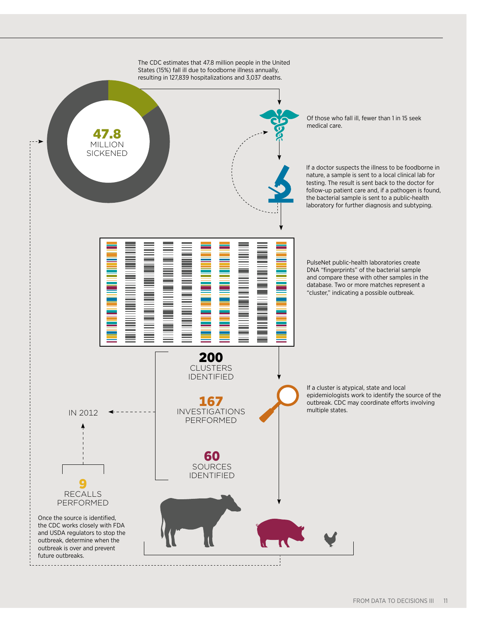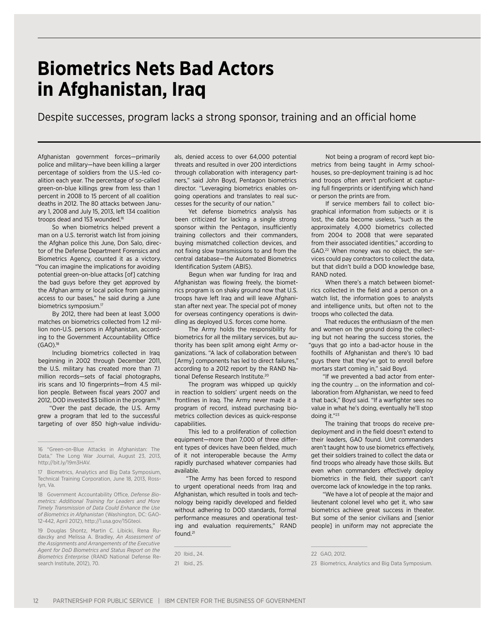## **Biometrics Nets Bad Actors in Afghanistan, Iraq**

Despite successes, program lacks a strong sponsor, training and an official home

Afghanistan government forces—primarily police and military—have been killing a larger percentage of soldiers from the U.S.-led coalition each year. The percentage of so-called green-on-blue killings grew from less than 1 percent in 2008 to 15 percent of all coalition deaths in 2012. The 80 attacks between January 1, 2008 and July 15, 2013, left 134 coalition troops dead and 153 wounded.<sup>16</sup>

So when biometrics helped prevent a man on a U.S. terrorist watch list from joining the Afghan police this June, Don Salo, director of the Defense Department Forensics and Biometrics Agency, counted it as a victory. "You can imagine the implications for avoiding potential green-on-blue attacks [of] catching the bad guys before they get approved by the Afghan army or local police from gaining access to our bases," he said during a June biometrics symposium.17

By 2012, there had been at least 3,000 matches on biometrics collected from 1.2 million non-U.S. persons in Afghanistan, according to the Government Accountability Office  $(GAO).^{18}$ 

Including biometrics collected in Iraq beginning in 2002 through December 2011, the U.S. military has created more than 7.1 million records—sets of facial photographs, iris scans and 10 fingerprints—from 4.5 million people. Between fiscal years 2007 and 2012, DOD invested \$3 billion in the program.19

"Over the past decade, the U.S. Army grew a program that led to the successful targeting of over 850 high-value individu-

19 Douglas Shontz, Martin C. Libicki, Rena Rudavzky and Melissa A. Bradley, *An Assessment of the Assignments and Arrangements of the Executive Agent for DoD Biometrics and Status Report on the Biometrics Enterprise* (RAND National Defense Research Institute, 2012), 70.

als, denied access to over 64,000 potential threats and resulted in over 200 interdictions through collaboration with interagency partners," said John Boyd, Pentagon biometrics director. "Leveraging biometrics enables ongoing operations and translates to real successes for the security of our nation."

Yet defense biometrics analysis has been criticized for lacking a single strong sponsor within the Pentagon, insufficiently training collectors and their commanders, buying mismatched collection devices, and not fixing slow transmissions to and from the central database—the Automated Biometrics Identification System (ABIS).

Begun when war funding for Iraq and Afghanistan was flowing freely, the biometrics program is on shaky ground now that U.S. troops have left Iraq and will leave Afghanistan after next year. The special pot of money for overseas contingency operations is dwindling as deployed U.S. forces come home.

The Army holds the responsibility for biometrics for all the military services, but authority has been split among eight Army organizations. "A lack of collaboration between [Army] components has led to direct failures," according to a 2012 report by the RAND National Defense Research Institute.20

The program was whipped up quickly in reaction to soldiers' urgent needs on the frontlines in Iraq. The Army never made it a program of record, instead purchasing biometrics collection devices as quick-response capabilities.

This led to a proliferation of collection equipment—more than 7,000 of three different types of devices have been fielded, much of it not interoperable because the Army rapidly purchased whatever companies had available.

"The Army has been forced to respond to urgent operational needs from Iraq and Afghanistan, which resulted in tools and technology being rapidly developed and fielded without adhering to DOD standards, formal performance measures and operational testing and evaluation requirements," RAND found.21

Not being a program of record kept biometrics from being taught in Army schoolhouses, so pre-deployment training is ad hoc and troops often aren't proficient at capturing full fingerprints or identifying which hand or person the prints are from.

If service members fail to collect biographical information from subjects or it is lost, the data become useless, "such as the approximately 4,000 biometrics collected from 2004 to 2008 that were separated from their associated identities," according to GAO.22 When money was no object, the services could pay contractors to collect the data, but that didn't build a DOD knowledge base, RAND noted.

When there's a match between biometrics collected in the field and a person on a watch list, the information goes to analysts and intelligence units, but often not to the troops who collected the data.

That reduces the enthusiasm of the men and women on the ground doing the collecting but not hearing the success stories, the "guys that go into a bad-actor house in the foothills of Afghanistan and there's 10 bad guys there that they've got to enroll before mortars start coming in," said Boyd.

"If we prevented a bad actor from entering the country … on the information and collaboration from Afghanistan, we need to feed that back," Boyd said. "If a warfighter sees no value in what he's doing, eventually he'll stop doing it."23

The training that troops do receive predeployment and in the field doesn't extend to their leaders, GAO found. Unit commanders aren't taught how to use biometrics effectively, get their soldiers trained to collect the data or find troops who already have those skills. But even when commanders effectively deploy biometrics in the field, their support can't overcome lack of knowledge in the top ranks.

"We have a lot of people at the major and lieutenant colonel level who get it, who saw biometrics achieve great success in theater. But some of the senior civilians and [senior people] in uniform may not appreciate the

<sup>16</sup> "Green-on-Blue Attacks in Afghanistan: The Data," The Long War Journal, August 23, 2013, http://bit.ly/19m3HAV.

<sup>17</sup> Biometrics, Analytics and Big Data Symposium, Technical Training Corporation, June 18, 2013, Rosslyn, Va.

<sup>18</sup> Government Accountability Office, *Defense Biometrics: Additional Training for Leaders and More Timely Transmission of Data Could Enhance the Use of Biometrics in Afghanistan* (Washington, DC: GAO-12-442, April 2012), http://1.usa.gov/15Gteoi.

<sup>20</sup> Ibid., 24.

<sup>21</sup> Ibid., 25.

<sup>22</sup> GAO, 2012.

<sup>23</sup> Biometrics, Analytics and Big Data Symposium.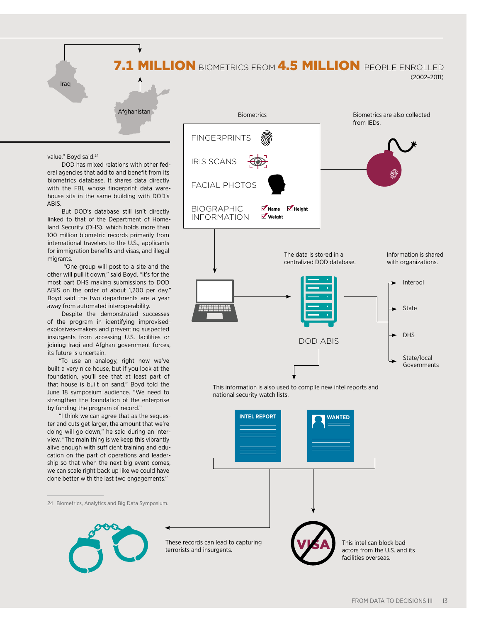### 7.1 MILLION BIOMETRICS FROM 4.5 MILLION PEOPLE ENROLLED

Iraq

(2002–2011)

value," Boyd said.<sup>24</sup>

DOD has mixed relations with other federal agencies that add to and benefit from its biometrics database. It shares data directly with the FBI, whose fingerprint data warehouse sits in the same building with DOD's ABIS.

Afghanistan

But DOD's database still isn't directly linked to that of the Department of Homeland Security (DHS), which holds more than 100 million biometric records primarily from international travelers to the U.S., applicants for immigration benefits and visas, and illegal migrants.

 "One group will post to a site and the other will pull it down," said Boyd. "It's for the most part DHS making submissions to DOD ABIS on the order of about 1,200 per day." Boyd said the two departments are a year away from automated interoperability.

Despite the demonstrated successes of the program in identifying improvisedexplosives-makers and preventing suspected insurgents from accessing U.S. facilities or joining Iraqi and Afghan government forces, its future is uncertain.

"To use an analogy, right now we've built a very nice house, but if you look at the foundation, you'll see that at least part of that house is built on sand," Boyd told the June 18 symposium audience. "We need to strengthen the foundation of the enterprise by funding the program of record."

"I think we can agree that as the sequester and cuts get larger, the amount that we're doing will go down," he said during an interview. "The main thing is we keep this vibrantly alive enough with sufficient training and education on the part of operations and leadership so that when the next big event comes, we can scale right back up like we could have done better with the last two engagements."

24 Biometrics, Analytics and Big Data Symposium.





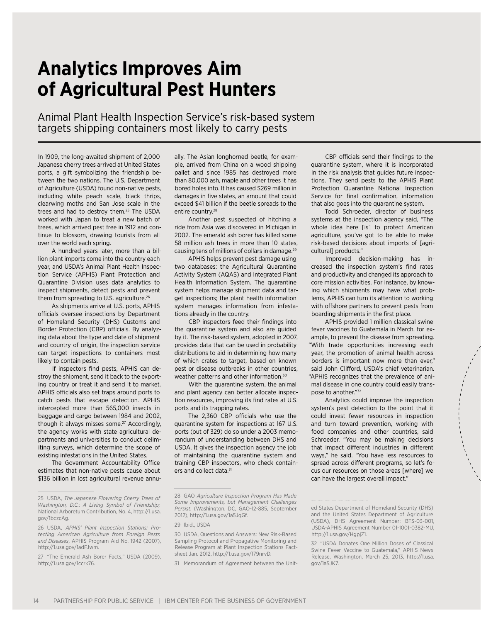## **Analytics Improves Aim of Agricultural Pest Hunters**

Animal Plant Health Inspection Service's risk-based system targets shipping containers most likely to carry pests

In 1909, the long-awaited shipment of 2,000 Japanese cherry trees arrived at United States ports, a gift symbolizing the friendship between the two nations. The U.S. Department of Agriculture (USDA) found non-native pests, including white peach scale, black thrips, clearwing moths and San Jose scale in the trees and had to destroy them.25 The USDA worked with Japan to treat a new batch of trees, which arrived pest free in 1912 and continue to blossom, drawing tourists from all over the world each spring.

A hundred years later, more than a billion plant imports come into the country each year, and USDA's Animal Plant Health Inspection Service (APHIS) Plant Protection and Quarantine Division uses data analytics to inspect shipments, detect pests and prevent them from spreading to U.S. agriculture.<sup>26</sup>

As shipments arrive at U.S. ports, APHIS officials oversee inspections by Department of Homeland Security (DHS) Customs and Border Protection (CBP) officials. By analyzing data about the type and date of shipment and country of origin, the inspection service can target inspections to containers most likely to contain pests.

If inspectors find pests, APHIS can destroy the shipment, send it back to the exporting country or treat it and send it to market. APHIS officials also set traps around ports to catch pests that escape detection. APHIS intercepted more than 565,000 insects in baggage and cargo between 1984 and 2002, though it always misses some.<sup>27</sup> Accordingly, the agency works with state agricultural departments and universities to conduct delimiting surveys, which determine the scope of existing infestations in the United States.

The Government Accountability Office estimates that non-native pests cause about \$136 billion in lost agricultural revenue annually. The Asian longhorned beetle, for example, arrived from China on a wood shipping pallet and since 1985 has destroyed more than 80,000 ash, maple and other trees it has bored holes into. It has caused \$269 million in damages in five states, an amount that could exceed \$41 billion if the beetle spreads to the entire country.<sup>28</sup>

Another pest suspected of hitching a ride from Asia was discovered in Michigan in 2002. The emerald ash borer has killed some 58 million ash trees in more than 10 states, causing tens of millions of dollars in damage.29

APHIS helps prevent pest damage using two databases: the Agricultural Quarantine Activity System (AQAS) and Integrated Plant Health Information System. The quarantine system helps manage shipment data and target inspections; the plant health information system manages information from infestations already in the country.

CBP inspectors feed their findings into the quarantine system and also are guided by it. The risk-based system, adopted in 2007, provides data that can be used in probability distributions to aid in determining how many of which crates to target, based on known pest or disease outbreaks in other countries, weather patterns and other information.30

With the quarantine system, the animal and plant agency can better allocate inspection resources, improving its find rates at U.S. ports and its trapping rates.

The 2,360 CBP officials who use the quarantine system for inspections at 167 U.S. ports (out of 329) do so under a 2003 memorandum of understanding between DHS and USDA. It gives the inspection agency the job of maintaining the quarantine system and training CBP inspectors, who check containers and collect data.<sup>31</sup>

CBP officials send their findings to the quarantine system, where it is incorporated in the risk analysis that guides future inspections. They send pests to the APHIS Plant Protection Quarantine National Inspection Service for final confirmation, information that also goes into the quarantine system.

Todd Schroeder, director of business systems at the inspection agency said, "The whole idea here [is] to protect American agriculture, you've got to be able to make risk-based decisions about imports of [agricultural] products."

Improved decision-making has increased the inspection system's find rates and productivity and changed its approach to core mission activities. For instance, by knowing which shipments may have what problems, APHIS can turn its attention to working with offshore partners to prevent pests from boarding shipments in the first place.

APHIS provided 1 million classical swine fever vaccines to Guatemala in March, for example, to prevent the disease from spreading. "With trade opportunities increasing each year, the promotion of animal health across borders is important now more than ever," said John Clifford, USDA's chief veterinarian. "APHIS recognizes that the prevalence of animal disease in one country could easily transpose to another."32

Analytics could improve the inspection system's pest detection to the point that it could invest fewer resources in inspection and turn toward prevention, working with food companies and other countries, said Schroeder. "You may be making decisions that impact different industries in different ways," he said. "You have less resources to spread across different programs, so let's focus our resources on those areas [where] we can have the largest overall impact."

<sup>25</sup> USDA, *The Japanese Flowering Cherry Trees of Washington, D.C.: A Living Symbol of Friendship;*  National Arboretum Contribution, No. 4, http://1.usa. gov/1bczcAg.

<sup>26</sup> USDA, *APHIS' Plant Inspection Stations: Protecting American Agriculture from Foreign Pests and Diseases*, APHIS Program Aid No. 1942 (2007), http://1.usa.gov/1adFJwm.

<sup>27</sup> "The Emerald Ash Borer Facts," USDA (2009), http://1.usa.gov/1ccrk76.

<sup>28</sup> GAO *Agriculture Inspection Program Has Made Some Improvements, but Management Challenges Persist*, (Washington, DC, GAO-12-885, September 2012), http://1.usa.gov/1a5JqGf.

<sup>29</sup> Ibid., USDA

<sup>30</sup> USDA, Questions and Answers: New Risk-Based Sampling Protocol and Propagative Monitoring and Release Program at Plant Inspection Stations Factsheet Jan. 2012, http://1.usa.gov/179nrvD.

<sup>31</sup> Memorandum of Agreement between the Unit-

ed States Department of Homeland Security (DHS) and the United States Department of Agriculture (USDA), DHS Agreement Number: BTS-03-001, USDA-APHIS Agreement Number 01-1001-0382-MU, http://1.usa.gov/HgpjZ1.

<sup>32</sup> "USDA Donates One Million Doses of Classical Swine Fever Vaccine to Guatemala," APHIS News Release, Washington, March 25, 2013, http://1.usa. gov/1a5JK7.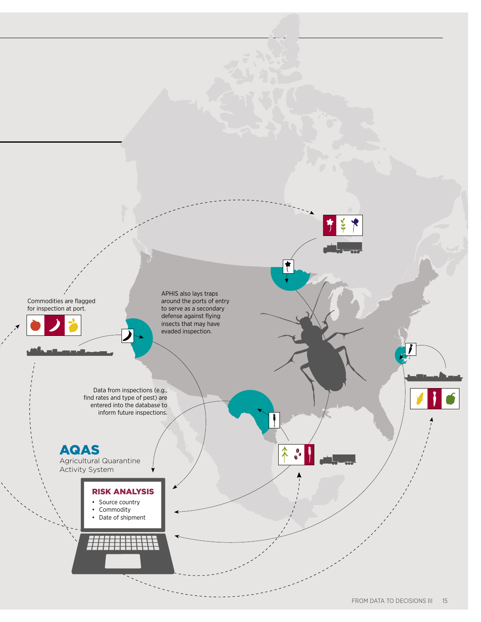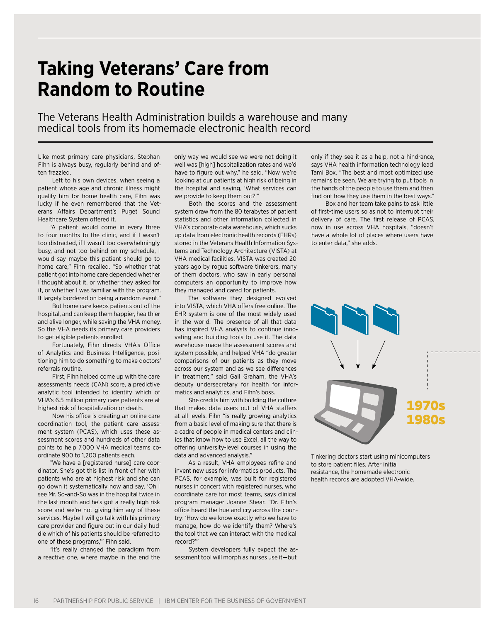## **Taking Veterans' Care from Random to Routine**

The Veterans Health Administration builds a warehouse and many medical tools from its homemade electronic health record

Like most primary care physicians, Stephan Fihn is always busy, regularly behind and often frazzled.

Left to his own devices, when seeing a patient whose age and chronic illness might qualify him for home health care, Fihn was lucky if he even remembered that the Veterans Affairs Department's Puget Sound Healthcare System offered it.

"A patient would come in every three to four months to the clinic, and if I wasn't too distracted, if I wasn't too overwhelmingly busy, and not too behind on my schedule, I would say maybe this patient should go to home care," Fihn recalled. "So whether that patient got into home care depended whether I thought about it, or whether they asked for it, or whether I was familiar with the program. It largely bordered on being a random event."

But home care keeps patients out of the hospital, and can keep them happier, healthier and alive longer, while saving the VHA money. So the VHA needs its primary care providers to get eligible patients enrolled.

Fortunately, Fihn directs VHA's Office of Analytics and Business Intelligence, positioning him to do something to make doctors' referrals routine.

First, Fihn helped come up with the care assessments needs (CAN) score, a predictive analytic tool intended to identify which of VHA's 6.5 million primary care patients are at highest risk of hospitalization or death.

Now his office is creating an online care coordination tool, the patient care assessment system (PCAS), which uses these assessment scores and hundreds of other data points to help 7,000 VHA medical teams coordinate 900 to 1,200 patients each.

"We have a [registered nurse] care coordinator. She's got this list in front of her with patients who are at highest risk and she can go down it systematically now and say, 'Oh I see Mr. So-and-So was in the hospital twice in the last month and he's got a really high risk score and we're not giving him any of these services. Maybe I will go talk with his primary care provider and figure out in our daily huddle which of his patients should be referred to one of these programs,'" Fihn said.

"It's really changed the paradigm from a reactive one, where maybe in the end the only way we would see we were not doing it well was [high] hospitalization rates and we'd have to figure out why," he said. "Now we're looking at our patients at high risk of being in the hospital and saying, 'What services can we provide to keep them out?'"

Both the scores and the assessment system draw from the 80 terabytes of patient statistics and other information collected in VHA's corporate data warehouse, which sucks up data from electronic health records (EHRs) stored in the Veterans Health Information Systems and Technology Architecture (VISTA) at VHA medical facilities. VISTA was created 20 years ago by rogue software tinkerers, many of them doctors, who saw in early personal computers an opportunity to improve how they managed and cared for patients.

The software they designed evolved into VISTA, which VHA offers free online. The EHR system is one of the most widely used in the world. The presence of all that data has inspired VHA analysts to continue innovating and building tools to use it. The data warehouse made the assessment scores and system possible, and helped VHA "do greater comparisons of our patients as they move across our system and as we see differences in treatment," said Gail Graham, the VHA's deputy undersecretary for health for informatics and analytics, and Fihn's boss.

She credits him with building the culture that makes data users out of VHA staffers at all levels. Fihn "is really growing analytics from a basic level of making sure that there is a cadre of people in medical centers and clinics that know how to use Excel, all the way to offering university-level courses in using the data and advanced analysis."

As a result, VHA employees refine and invent new uses for informatics products. The PCAS, for example, was built for registered nurses in concert with registered nurses, who coordinate care for most teams, says clinical program manager Joanne Shear. "Dr. Fihn's office heard the hue and cry across the country: 'How do we know exactly who we have to manage, how do we identify them? Where's the tool that we can interact with the medical record?'"

System developers fully expect the assessment tool will morph as nurses use it—but

only if they see it as a help, not a hindrance, says VHA health information technology lead Tami Box. "The best and most optimized use remains be seen. We are trying to put tools in the hands of the people to use them and then find out how they use them in the best ways."

Box and her team take pains to ask little of first-time users so as not to interrupt their delivery of care. The first release of PCAS, now in use across VHA hospitals, "doesn't have a whole lot of places where users have to enter data," she adds.



Tinkering doctors start using minicomputers to store patient files. After initial resistance, the homemade electronic health records are adopted VHA-wide.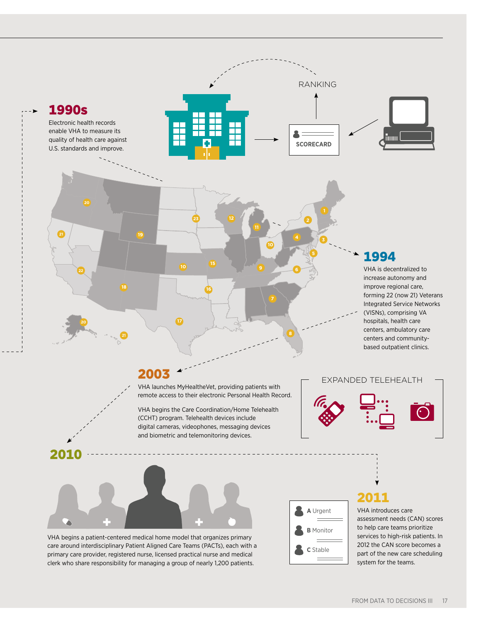

FROM DATA TO DECISIONS III 17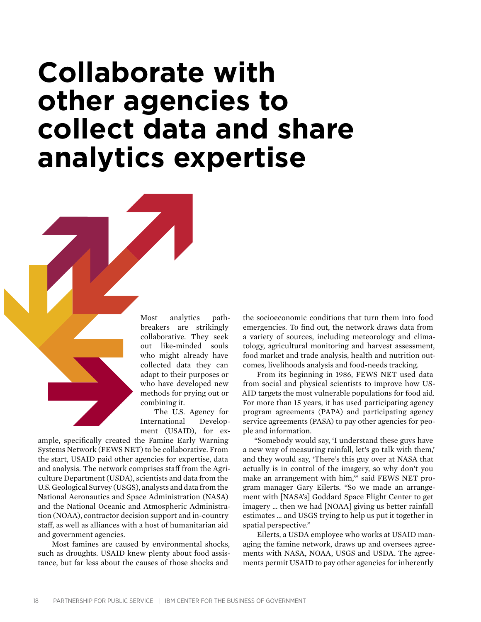## **Collaborate with other agencies to collect data and share analytics expertise**

Most analytics pathbreakers are strikingly collaborative. They seek out like-minded souls who might already have collected data they can adapt to their purposes or who have developed new methods for prying out or combining it.

The U.S. Agency for International Development (USAID), for ex-

ample, specifically created the Famine Early Warning Systems Network (FEWS NET) to be collaborative. From the start, USAID paid other agencies for expertise, data and analysis. The network comprises staff from the Agriculture Department (USDA), scientists and data from the U.S. Geological Survey (USGS), analysts and data from the National Aeronautics and Space Administration (NASA) and the National Oceanic and Atmospheric Administration (NOAA), contractor decision support and in-country staff, as well as alliances with a host of humanitarian aid and government agencies.

Most famines are caused by environmental shocks, such as droughts. USAID knew plenty about food assistance, but far less about the causes of those shocks and

the socioeconomic conditions that turn them into food emergencies. To find out, the network draws data from a variety of sources, including meteorology and climatology, agricultural monitoring and harvest assessment, food market and trade analysis, health and nutrition outcomes, livelihoods analysis and food-needs tracking.

From its beginning in 1986, FEWS NET used data from social and physical scientists to improve how US-AID targets the most vulnerable populations for food aid. For more than 15 years, it has used participating agency program agreements (PAPA) and participating agency service agreements (PASA) to pay other agencies for people and information.

"Somebody would say, 'I understand these guys have a new way of measuring rainfall, let's go talk with them,' and they would say, 'There's this guy over at NASA that actually is in control of the imagery, so why don't you make an arrangement with him,'" said FEWS NET program manager Gary Eilerts. "So we made an arrangement with [NASA's] Goddard Space Flight Center to get imagery … then we had [NOAA] giving us better rainfall estimates … and USGS trying to help us put it together in spatial perspective."

Eilerts, a USDA employee who works at USAID managing the famine network, draws up and oversees agreements with NASA, NOAA, USGS and USDA. The agreements permit USAID to pay other agencies for inherently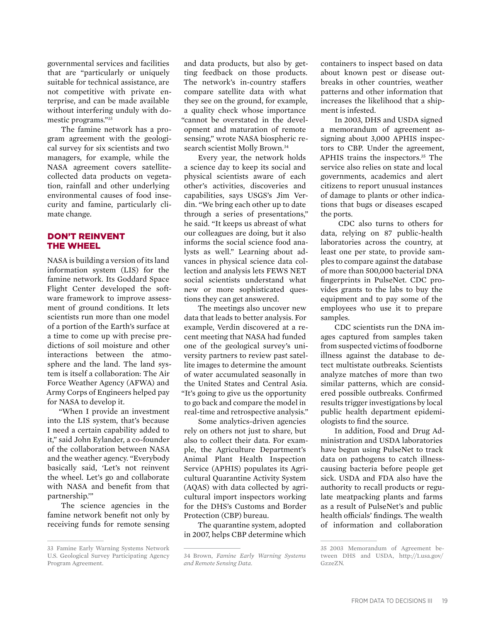governmental services and facilities that are "particularly or uniquely suitable for technical assistance, are not competitive with private enterprise, and can be made available without interfering unduly with domestic programs."33

The famine network has a program agreement with the geological survey for six scientists and two managers, for example, while the NASA agreement covers satellitecollected data products on vegetation, rainfall and other underlying environmental causes of food insecurity and famine, particularly climate change.

#### Don't Reinvent the Wheel

NASA is building a version of its land information system (LIS) for the famine network. Its Goddard Space Flight Center developed the software framework to improve assessment of ground conditions. It lets scientists run more than one model of a portion of the Earth's surface at a time to come up with precise predictions of soil moisture and other interactions between the atmosphere and the land. The land system is itself a collaboration: The Air Force Weather Agency (AFWA) and Army Corps of Engineers helped pay for NASA to develop it.

"When I provide an investment into the LIS system, that's because I need a certain capability added to it," said John Eylander, a co-founder of the collaboration between NASA and the weather agency. "Everybody basically said, 'Let's not reinvent the wheel. Let's go and collaborate with NASA and benefit from that partnership.'"

The science agencies in the famine network benefit not only by receiving funds for remote sensing

and data products, but also by getting feedback on those products. The network's in-country staffers compare satellite data with what they see on the ground, for example, a quality check whose importance "cannot be overstated in the development and maturation of remote sensing," wrote NASA biospheric research scientist Molly Brown.<sup>34</sup>

Every year, the network holds a science day to keep its social and physical scientists aware of each other's activities, discoveries and capabilities, says USGS's Jim Verdin. "We bring each other up to date through a series of presentations," he said. "It keeps us abreast of what our colleagues are doing, but it also informs the social science food analysts as well." Learning about advances in physical science data collection and analysis lets FEWS NET social scientists understand what new or more sophisticated questions they can get answered.

The meetings also uncover new data that leads to better analysis. For example, Verdin discovered at a recent meeting that NASA had funded one of the geological survey's university partners to review past satellite images to determine the amount of water accumulated seasonally in the United States and Central Asia. "It's going to give us the opportunity to go back and compare the model in real-time and retrospective analysis."

Some analytics-driven agencies rely on others not just to share, but also to collect their data. For example, the Agriculture Department's Animal Plant Health Inspection Service (APHIS) populates its Agricultural Quarantine Activity System (AQAS) with data collected by agricultural import inspectors working for the DHS's Customs and Border Protection (CBP) bureau.

The quarantine system, adopted in 2007, helps CBP determine which containers to inspect based on data about known pest or disease outbreaks in other countries, weather patterns and other information that increases the likelihood that a shipment is infested.

In 2003, DHS and USDA signed a memorandum of agreement assigning about 3,000 APHIS inspectors to CBP. Under the agreement, APHIS trains the inspectors.<sup>35</sup> The service also relies on state and local governments, academics and alert citizens to report unusual instances of damage to plants or other indications that bugs or diseases escaped the ports.

 CDC also turns to others for data, relying on 87 public-health laboratories across the country, at least one per state, to provide samples to compare against the database of more than 500,000 bacterial DNA fingerprints in PulseNet. CDC provides grants to the labs to buy the equipment and to pay some of the employees who use it to prepare samples.

CDC scientists run the DNA images captured from samples taken from suspected victims of foodborne illness against the database to detect multistate outbreaks. Scientists analyze matches of more than two similar patterns, which are considered possible outbreaks. Confirmed results trigger investigations by local public health department epidemiologists to find the source.

In addition, Food and Drug Administration and USDA laboratories have begun using PulseNet to track data on pathogens to catch illnesscausing bacteria before people get sick. USDA and FDA also have the authority to recall products or regulate meatpacking plants and farms as a result of PulseNet's and public health officials' findings. The wealth of information and collaboration

<sup>33</sup> Famine Early Warning Systems Network U.S. Geological Survey Participating Agency Program Agreement.

<sup>34</sup> Brown, *Famine Early Warning Systems and Remote Sensing Data*.

<sup>35</sup> 2003 Memorandum of Agreement between DHS and USDA, http://1.usa.gov/ GzzeZN.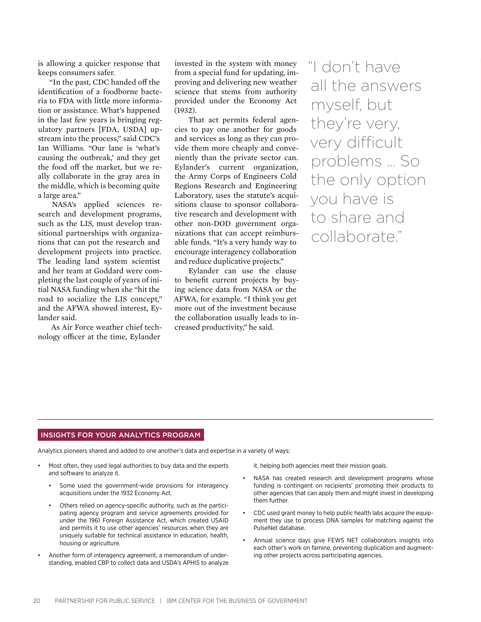is allowing a quicker response that keeps consumers safer.

"In the past, CDC handed off the identification of a foodborne bacteria to FDA with little more information or assistance. What's happened in the last few years is bringing regulatory partners [FDA, USDA] upstream into the process," said CDC's Ian Williams. "Our lane is 'what's causing the outbreak,' and they get the food off the market, but we really collaborate in the gray area in the middle, which is becoming quite a large area."

NASA's applied sciences research and development programs, such as the LIS, must develop transitional partnerships with organizations that can put the research and development projects into practice. The leading land system scientist and her team at Goddard were completing the last couple of years of initial NASA funding when she "hit the road to socialize the LIS concept," and the AFWA showed interest, Eylander said.

As Air Force weather chief technology officer at the time, Eylander

invested in the system with money from a special fund for updating, improving and delivering new weather science that stems from authority provided under the Economy Act (1932).

That act permits federal agencies to pay one another for goods and services as long as they can provide them more cheaply and conveniently than the private sector can. Eylander's current organization, the Army Corps of Engineers Cold Regions Research and Engineering Laboratory, uses the statute's acquisitions clause to sponsor collaborative research and development with other non-DOD government organizations that can accept reimbursable funds. "It's a very handy way to encourage interagency collaboration and reduce duplicative projects."

Eylander can use the clause to benefit current projects by buying science data from NASA or the AFWA, for example. "I think you get more out of the investment because the collaboration usually leads to increased productivity," he said.

"I don't have all the answers myself, but they're very, very difficult problems … So the only option you have is to share and collaborate."

#### Insights for your analytics program

Analytics pioneers shared and added to one another's data and expertise in a variety of ways:

- Most often, they used legal authorities to buy data and the experts and software to analyze it.
	- Some used the government-wide provisions for interagency acquisitions under the 1932 Economy Act.
	- Others relied on agency-specific authority, such as the participating agency program and service agreements provided for under the 1961 Foreign Assistance Act, which created USAID and permits it to use other agencies' resources when they are uniquely suitable for technical assistance in education, health, housing or agriculture.
- Another form of interagency agreement, a memorandum of understanding, enabled CBP to collect data and USDA's APHIS to analyze

it, helping both agencies meet their mission goals.

- NASA has created research and development programs whose funding is contingent on recipients' promoting their products to other agencies that can apply them and might invest in developing them further.
- CDC used grant money to help public health labs acquire the equipment they use to process DNA samples for matching against the PulseNet database.
- Annual science days give FEWS NET collaborators insights into each other's work on famine, preventing duplication and augmenting other projects across participating agencies.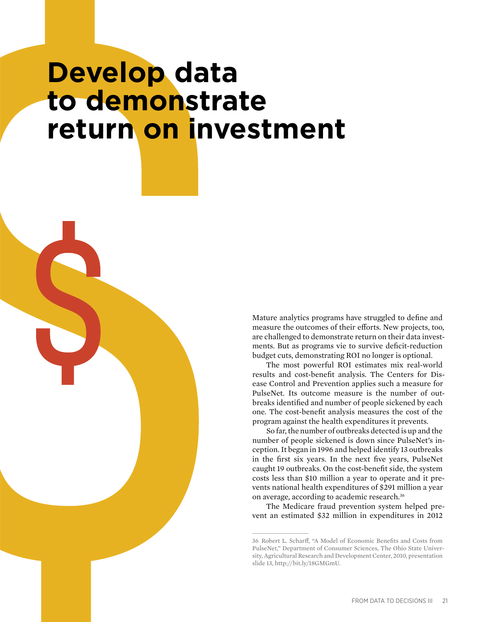## **Develop data to demonstrate return on investment**

Mature analytics programs have struggled to define and measure the outcomes of their efforts. New projects, too, are challenged to demonstrate return on their data investments. But as programs vie to survive deficit-reduction budget cuts, demonstrating ROI no longer is optional.

The most powerful ROI estimates mix real-world results and cost-benefit analysis. The Centers for Disease Control and Prevention applies such a measure for PulseNet. Its outcome measure is the number of outbreaks identified and number of people sickened by each one. The cost-benefit analysis measures the cost of the program against the health expenditures it prevents.

So far, the number of outbreaks detected is up and the number of people sickened is down since PulseNet's inception. It began in 1996 and helped identify 13 outbreaks in the first six years. In the next five years, PulseNet caught 19 outbreaks. On the cost-benefit side, the system costs less than \$10 million a year to operate and it prevents national health expenditures of \$291 million a year on average, according to academic research.36

The Medicare fraud prevention system helped prevent an estimated \$32 million in expenditures in 2012

<sup>36</sup> Robert L. Scharff, "A Model of Economic Benefits and Costs from PulseNet," Department of Consumer Sciences, The Ohio State University, Agricultural Research and Development Center, 2010, presentation slide 13, http://bit.ly/18GMGmU.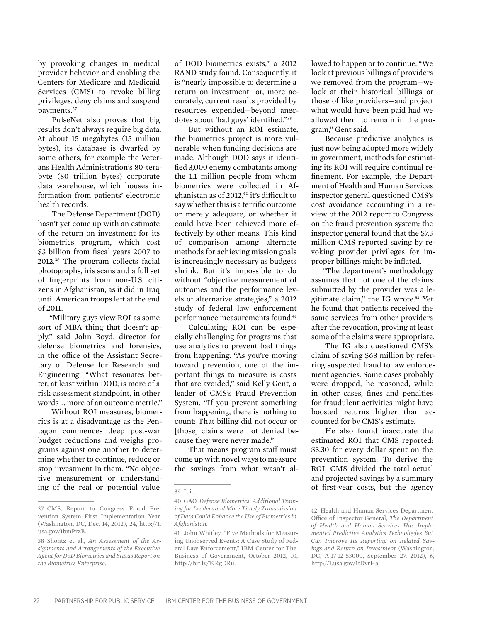by provoking changes in medical provider behavior and enabling the Centers for Medicare and Medicaid Services (CMS) to revoke billing privileges, deny claims and suspend payments.37

PulseNet also proves that big results don't always require big data. At about 15 megabytes (15 million bytes), its database is dwarfed by some others, for example the Veterans Health Administration's 80-terabyte (80 trillion bytes) corporate data warehouse, which houses information from patients' electronic health records.

The Defense Department (DOD) hasn't yet come up with an estimate of the return on investment for its biometrics program, which cost \$3 billion from fiscal years 2007 to 2012.38 The program collects facial photographs, iris scans and a full set of fingerprints from non-U.S. citizens in Afghanistan, as it did in Iraq until American troops left at the end of 2011.

"Military guys view ROI as some sort of MBA thing that doesn't apply," said John Boyd, director for defense biometrics and forensics, in the office of the Assistant Secretary of Defense for Research and Engineering. "What resonates better, at least within DOD, is more of a risk-assessment standpoint, in other words … more of an outcome metric."

Without ROI measures, biometrics is at a disadvantage as the Pentagon commences deep post-war budget reductions and weighs programs against one another to determine whether to continue, reduce or stop investment in them. "No objective measurement or understanding of the real or potential value

of DOD biometrics exists," a 2012 RAND study found. Consequently, it is "nearly impossible to determine a return on investment—or, more accurately, current results provided by resources expended—beyond anecdotes about 'bad guys' identified."39

But without an ROI estimate, the biometrics project is more vulnerable when funding decisions are made. Although DOD says it identified 3,000 enemy combatants among the 1.1 million people from whom biometrics were collected in Afghanistan as of 2012,<sup>40</sup> it's difficult to say whether this is a terrific outcome or merely adequate, or whether it could have been achieved more effectively by other means. This kind of comparison among alternate methods for achieving mission goals is increasingly necessary as budgets shrink. But it's impossible to do without "objective measurement of outcomes and the performance levels of alternative strategies," a 2012 study of federal law enforcement performance measurements found.41

Calculating ROI can be especially challenging for programs that use analytics to prevent bad things from happening. "As you're moving toward prevention, one of the important things to measure is costs that are avoided," said Kelly Gent, a leader of CMS's Fraud Prevention System. "If you prevent something from happening, there is nothing to count: That billing did not occur or [those] claims were not denied because they were never made."

That means program staff must come up with novel ways to measure the savings from what wasn't allowed to happen or to continue. "We look at previous billings of providers we removed from the program—we look at their historical billings or those of like providers—and project what would have been paid had we allowed them to remain in the program," Gent said.

Because predictive analytics is just now being adopted more widely in government, methods for estimating its ROI will require continual refinement. For example, the Department of Health and Human Services inspector general questioned CMS's cost avoidance accounting in a review of the 2012 report to Congress on the fraud prevention system; the inspector general found that the \$7.3 million CMS reported saving by revoking provider privileges for improper billings might be inflated.

"The department's methodology assumes that not one of the claims submitted by the provider was a legitimate claim," the IG wrote.<sup>42</sup> Yet he found that patients received the same services from other providers after the revocation, proving at least some of the claims were appropriate.

The IG also questioned CMS's claim of saving \$68 million by referring suspected fraud to law enforcement agencies. Some cases probably were dropped, he reasoned, while in other cases, fines and penalties for fraudulent activities might have boosted returns higher than accounted for by CMS's estimate.

He also found inaccurate the estimated ROI that CMS reported: \$3.30 for every dollar spent on the prevention system. To derive the ROI, CMS divided the total actual and projected savings by a summary of first-year costs, but the agency

<sup>37</sup> CMS, Report to Congress Fraud Prevention System First Implementation Year (Washington, DC, Dec. 14, 2012), 24, http://1. usa.gov/1bmPrzB.

<sup>38</sup> Shontz et al., *An Assessment of the Assignments and Arrangements of the Executive Agent for DoD Biometrics and Status Report on the Biometrics Enterprise*.

<sup>39</sup> Ibid.

<sup>40</sup> GAO, *Defense Biometrics: Additional Training for Leaders and More Timely Transmission of Data Could Enhance the Use of Biometrics in Afghanistan*.

<sup>41</sup> John Whitley, "Five Methods for Measuring Unobserved Events: A Case Study of Federal Law Enforcement," IBM Center for The Business of Government, October 2012, 10, http://bit.ly/19RgDRu.

<sup>42</sup> Health and Human Services Department Office of Inspector General, *The Department of Health and Human Services Has Implemented Predictive Analytics Technologies But Can Improve Its Reporting on Related Savings and Return on Investment* (Washington, DC, A-17-12-53000, September 27, 2012), 6, http://1.usa.gov/1fDyrHa.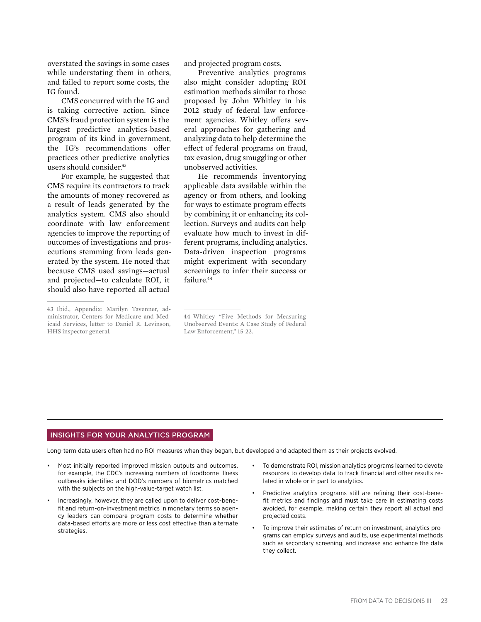overstated the savings in some cases while understating them in others, and failed to report some costs, the IG found.

CMS concurred with the IG and is taking corrective action. Since CMS's fraud protection system is the largest predictive analytics-based program of its kind in government, the IG's recommendations offer practices other predictive analytics users should consider.<sup>43</sup>

For example, he suggested that CMS require its contractors to track the amounts of money recovered as a result of leads generated by the analytics system. CMS also should coordinate with law enforcement agencies to improve the reporting of outcomes of investigations and prosecutions stemming from leads generated by the system. He noted that because CMS used savings—actual and projected—to calculate ROI, it should also have reported all actual

and projected program costs.

Preventive analytics programs also might consider adopting ROI estimation methods similar to those proposed by John Whitley in his 2012 study of federal law enforcement agencies. Whitley offers several approaches for gathering and analyzing data to help determine the effect of federal programs on fraud, tax evasion, drug smuggling or other unobserved activities.

He recommends inventorying applicable data available within the agency or from others, and looking for ways to estimate program effects by combining it or enhancing its collection. Surveys and audits can help evaluate how much to invest in different programs, including analytics. Data-driven inspection programs might experiment with secondary screenings to infer their success or failure.<sup>44</sup>

#### Insights for your analytics program

Long-term data users often had no ROI measures when they began, but developed and adapted them as their projects evolved.

- Most initially reported improved mission outputs and outcomes, for example, the CDC's increasing numbers of foodborne illness outbreaks identified and DOD's numbers of biometrics matched with the subjects on the high-value-target watch list.
- Increasingly, however, they are called upon to deliver cost-benefit and return-on-investment metrics in monetary terms so agency leaders can compare program costs to determine whether data-based efforts are more or less cost effective than alternate strategies.
- To demonstrate ROI, mission analytics programs learned to devote resources to develop data to track financial and other results related in whole or in part to analytics.
- Predictive analytics programs still are refining their cost-benefit metrics and findings and must take care in estimating costs avoided, for example, making certain they report all actual and projected costs.
- To improve their estimates of return on investment, analytics programs can employ surveys and audits, use experimental methods such as secondary screening, and increase and enhance the data they collect.

<sup>43</sup> Ibid., Appendix: Marilyn Tavenner, administrator, Centers for Medicare and Medicaid Services, letter to Daniel R. Levinson, HHS inspector general.

<sup>44</sup> Whitley "Five Methods for Measuring Unobserved Events: A Case Study of Federal Law Enforcement," 15-22.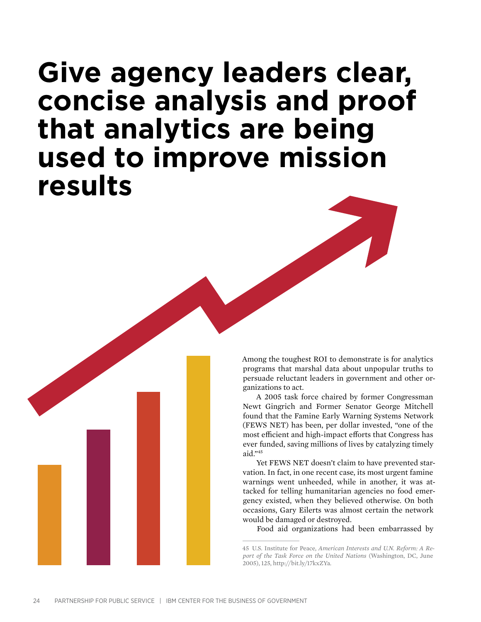## **Give agency leaders clear, concise analysis and proof that analytics are being used to improve mission results**

Among the toughest ROI to demonstrate is for analytics programs that marshal data about unpopular truths to persuade reluctant leaders in government and other organizations to act.

A 2005 task force chaired by former Congressman Newt Gingrich and Former Senator George Mitchell found that the Famine Early Warning Systems Network (FEWS NET) has been, per dollar invested, "one of the most efficient and high-impact efforts that Congress has ever funded, saving millions of lives by catalyzing timely aid $"$ <sup>45</sup>

Yet FEWS NET doesn't claim to have prevented starvation. In fact, in one recent case, its most urgent famine warnings went unheeded, while in another, it was attacked for telling humanitarian agencies no food emergency existed, when they believed otherwise. On both occasions, Gary Eilerts was almost certain the network would be damaged or destroyed.

Food aid organizations had been embarrassed by

<sup>45</sup> U.S. Institute for Peace, *American Interests and U.N. Reform: A Report of the Task Force on the United Nations* (Washington, DC, June 2005), 125, http://bit.ly/17kxZYa.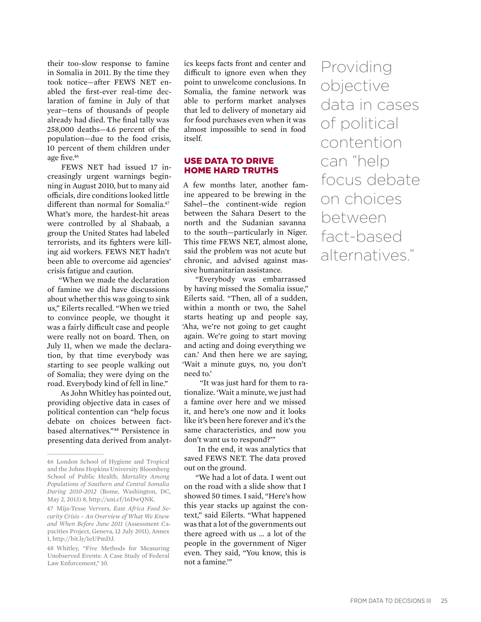their too-slow response to famine in Somalia in 2011. By the time they took notice—after FEWS NET enabled the first-ever real-time declaration of famine in July of that year—tens of thousands of people already had died. The final tally was 258,000 deaths—4.6 percent of the population—due to the food crisis, 10 percent of them children under age five.46

FEWS NET had issued 17 increasingly urgent warnings beginning in August 2010, but to many aid officials, dire conditions looked little different than normal for Somalia.<sup>47</sup> What's more, the hardest-hit areas were controlled by al Shabaab, a group the United States had labeled terrorists, and its fighters were killing aid workers. FEWS NET hadn't been able to overcome aid agencies' crisis fatigue and caution.

"When we made the declaration of famine we did have discussions about whether this was going to sink us," Eilerts recalled. "When we tried to convince people, we thought it was a fairly difficult case and people were really not on board. Then, on July 11, when we made the declaration, by that time everybody was starting to see people walking out of Somalia; they were dying on the road. Everybody kind of fell in line."

As John Whitley has pointed out, providing objective data in cases of political contention can "help focus debate on choices between factbased alternatives."48 Persistence in presenting data derived from analytics keeps facts front and center and difficult to ignore even when they point to unwelcome conclusions. In Somalia, the famine network was able to perform market analyses that led to delivery of monetary aid for food purchases even when it was almost impossible to send in food itself.

#### Use Data to Drive Home Hard Truths

A few months later, another famine appeared to be brewing in the Sahel—the continent-wide region between the Sahara Desert to the north and the Sudanian savanna to the south—particularly in Niger. This time FEWS NET, almost alone, said the problem was not acute but chronic, and advised against massive humanitarian assistance.

"Everybody was embarrassed by having missed the Somalia issue," Eilerts said. "Then, all of a sudden, within a month or two, the Sahel starts heating up and people say, 'Aha, we're not going to get caught again. We're going to start moving and acting and doing everything we can.' And then here we are saying, 'Wait a minute guys, no, you don't need to.'

 "It was just hard for them to rationalize. 'Wait a minute, we just had a famine over here and we missed it, and here's one now and it looks like it's been here forever and it's the same characteristics, and now you don't want us to respond?'"

In the end, it was analytics that saved FEWS NET. The data proved out on the ground.

"We had a lot of data. I went out on the road with a slide show that I showed 50 times. I said, "Here's how this year stacks up against the context," said Eilerts. "What happened was that a lot of the governments out there agreed with us … a lot of the people in the government of Niger even. They said, "You know, this is not a famine.'"

Providing objective data in cases of political contention can "help focus debate on choices between fact-based alternatives."

<sup>46</sup> London School of Hygiene and Tropical and the Johns Hopkins University Bloomberg School of Public Health, *Mortality Among Populations of Southern and Central Somalia During 2010-2012* (Rome, Washington, DC, May 2, 2013) 8, http://uni.cf/16DwQNK.

<sup>47</sup> Mija-Tesse Ververs, *East Africa Food Security Crisis – An Overview of What We Knew and When Before June 2011* (Assessment Capacities Project, Geneva, 12 July 2011), Annex 1*,* http://bit.ly/1eUPmDJ.

<sup>48</sup> Whitley, "Five Methods for Measuring Unobserved Events: A Case Study of Federal Law Enforcement," 10.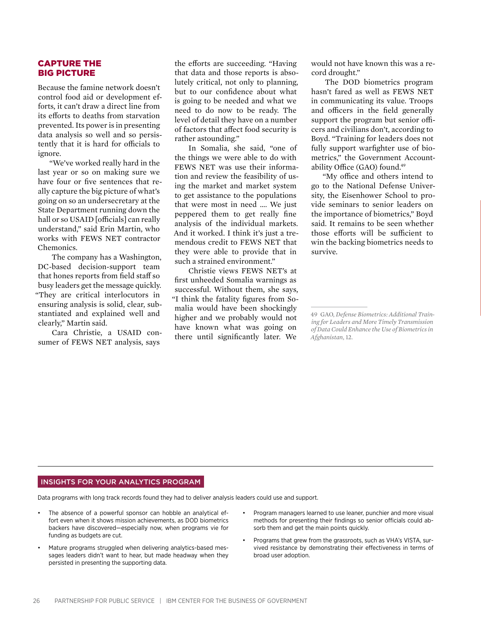#### Capture the Big Picture

Because the famine network doesn't control food aid or development efforts, it can't draw a direct line from its efforts to deaths from starvation prevented. Its power is in presenting data analysis so well and so persistently that it is hard for officials to ignore.

"We've worked really hard in the last year or so on making sure we have four or five sentences that really capture the big picture of what's going on so an undersecretary at the State Department running down the hall or so USAID [officials] can really understand," said Erin Martin, who works with FEWS NET contractor Chemonics.

The company has a Washington, DC-based decision-support team that hones reports from field staff so busy leaders get the message quickly. "They are critical interlocutors in ensuring analysis is solid, clear, substantiated and explained well and clearly," Martin said.

Cara Christie, a USAID consumer of FEWS NET analysis, says

the efforts are succeeding. "Having that data and those reports is absolutely critical, not only to planning, but to our confidence about what is going to be needed and what we need to do now to be ready. The level of detail they have on a number of factors that affect food security is rather astounding."

In Somalia, she said, "one of the things we were able to do with FEWS NET was use their information and review the feasibility of using the market and market system to get assistance to the populations that were most in need …. We just peppered them to get really fine analysis of the individual markets. And it worked. I think it's just a tremendous credit to FEWS NET that they were able to provide that in such a strained environment."

Christie views FEWS NET's at first unheeded Somalia warnings as successful. Without them, she says, "I think the fatality figures from Somalia would have been shockingly higher and we probably would not have known what was going on there until significantly later. We

would not have known this was a record drought."

The DOD biometrics program hasn't fared as well as FEWS NET in communicating its value. Troops and officers in the field generally support the program but senior officers and civilians don't, according to Boyd. "Training for leaders does not fully support warfighter use of biometrics," the Government Accountability Office (GAO) found.49

"My office and others intend to go to the National Defense University, the Eisenhower School to provide seminars to senior leaders on the importance of biometrics," Boyd said. It remains to be seen whether those efforts will be sufficient to win the backing biometrics needs to survive.

#### Insights for your analytics program

Data programs with long track records found they had to deliver analysis leaders could use and support.

- The absence of a powerful sponsor can hobble an analytical effort even when it shows mission achievements, as DOD biometrics backers have discovered—especially now, when programs vie for funding as budgets are cut.
- Mature programs struggled when delivering analytics-based messages leaders didn't want to hear, but made headway when they persisted in presenting the supporting data.
- Program managers learned to use leaner, punchier and more visual methods for presenting their findings so senior officials could absorb them and get the main points quickly.
- Programs that grew from the grassroots, such as VHA's VISTA, survived resistance by demonstrating their effectiveness in terms of broad user adoption.

<sup>49</sup> GAO, *Defense Biometrics: Additional Training for Leaders and More Timely Transmission of Data Could Enhance the Use of Biometrics in Afghanistan*, 12.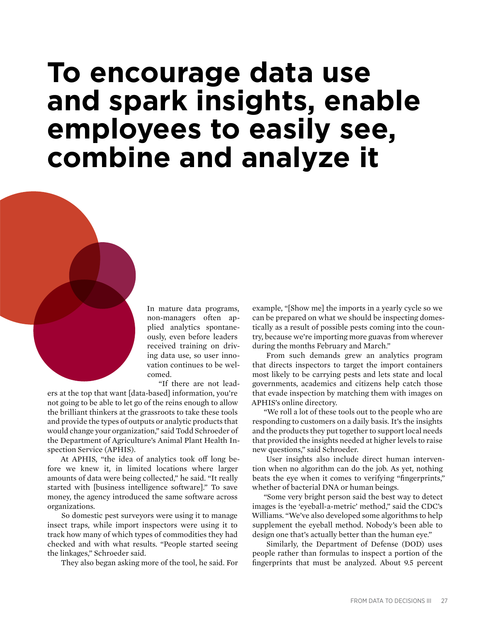## **To encourage data use and spark insights, enable employees to easily see, combine and analyze it**

In mature data programs, non-managers often applied analytics spontaneously, even before leaders received training on driving data use, so user innovation continues to be welcomed.

"If there are not lead-

ers at the top that want [data-based] information, you're not going to be able to let go of the reins enough to allow the brilliant thinkers at the grassroots to take these tools and provide the types of outputs or analytic products that would change your organization," said Todd Schroeder of the Department of Agriculture's Animal Plant Health Inspection Service (APHIS).

At APHIS, "the idea of analytics took off long before we knew it, in limited locations where larger amounts of data were being collected," he said. "It really started with [business intelligence software]." To save money, the agency introduced the same software across organizations.

So domestic pest surveyors were using it to manage insect traps, while import inspectors were using it to track how many of which types of commodities they had checked and with what results. "People started seeing the linkages," Schroeder said.

They also began asking more of the tool, he said. For

example, "[Show me] the imports in a yearly cycle so we can be prepared on what we should be inspecting domestically as a result of possible pests coming into the country, because we're importing more guavas from wherever during the months February and March."

From such demands grew an analytics program that directs inspectors to target the import containers most likely to be carrying pests and lets state and local governments, academics and citizens help catch those that evade inspection by matching them with images on APHIS's online directory.

"We roll a lot of these tools out to the people who are responding to customers on a daily basis. It's the insights and the products they put together to support local needs that provided the insights needed at higher levels to raise new questions," said Schroeder.

User insights also include direct human intervention when no algorithm can do the job. As yet, nothing beats the eye when it comes to verifying "fingerprints," whether of bacterial DNA or human beings.

"Some very bright person said the best way to detect images is the 'eyeball-a-metric' method," said the CDC's Williams. "We've also developed some algorithms to help supplement the eyeball method. Nobody's been able to design one that's actually better than the human eye."

Similarly, the Department of Defense (DOD) uses people rather than formulas to inspect a portion of the fingerprints that must be analyzed. About 9.5 percent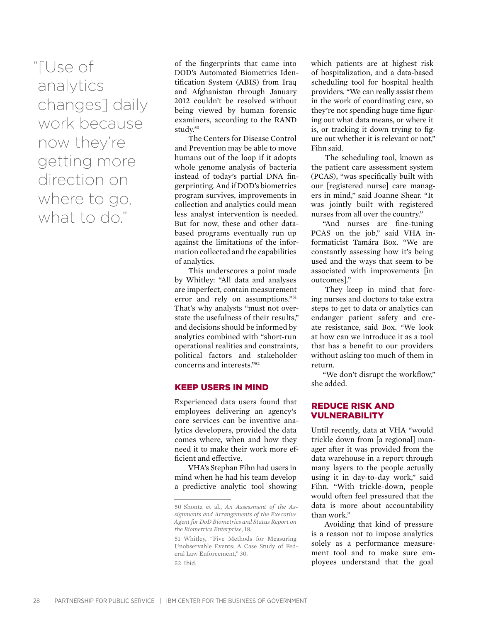"[Use of analytics changes] daily work because now they're getting more direction on where to go, what to do."

of the fingerprints that came into DOD's Automated Biometrics Identification System (ABIS) from Iraq and Afghanistan through January 2012 couldn't be resolved without being viewed by human forensic examiners, according to the RAND study.50

The Centers for Disease Control and Prevention may be able to move humans out of the loop if it adopts whole genome analysis of bacteria instead of today's partial DNA fingerprinting. And if DOD's biometrics program survives, improvements in collection and analytics could mean less analyst intervention is needed. But for now, these and other databased programs eventually run up against the limitations of the information collected and the capabilities of analytics.

This underscores a point made by Whitley: "All data and analyses are imperfect, contain measurement error and rely on assumptions."51 That's why analysts "must not overstate the usefulness of their results," and decisions should be informed by analytics combined with "short-run operational realities and constraints, political factors and stakeholder concerns and interests."52

#### Keep Users in Mind

Experienced data users found that employees delivering an agency's core services can be inventive analytics developers, provided the data comes where, when and how they need it to make their work more efficient and effective.

VHA's Stephan Fihn had users in mind when he had his team develop a predictive analytic tool showing which patients are at highest risk of hospitalization, and a data-based scheduling tool for hospital health providers. "We can really assist them in the work of coordinating care, so they're not spending huge time figuring out what data means, or where it is, or tracking it down trying to figure out whether it is relevant or not," Fihn said.

The scheduling tool, known as the patient care assessment system (PCAS), "was specifically built with our [registered nurse] care managers in mind," said Joanne Shear. "It was jointly built with registered nurses from all over the country."

"And nurses are fine-tuning PCAS on the job," said VHA informaticist Tamára Box. "We are constantly assessing how it's being used and the ways that seem to be associated with improvements [in outcomes]."

They keep in mind that forcing nurses and doctors to take extra steps to get to data or analytics can endanger patient safety and create resistance, said Box. "We look at how can we introduce it as a tool that has a benefit to our providers without asking too much of them in return.

"We don't disrupt the workflow," she added.

#### Reduce Risk and **VULNERABILITY**

Until recently, data at VHA "would trickle down from [a regional] manager after it was provided from the data warehouse in a report through many layers to the people actually using it in day-to-day work," said Fihn. "With trickle-down, people would often feel pressured that the data is more about accountability than work."

Avoiding that kind of pressure is a reason not to impose analytics solely as a performance measurement tool and to make sure employees understand that the goal

<sup>50</sup> Shontz et al., *An Assessment of the Assignments and Arrangements of the Executive Agent for DoD Biometrics and Status Report on the Biometrics Enterprise*, 18.

<sup>51</sup> Whitley, "Five Methods for Measuring Unobservable Events: A Case Study of Federal Law Enforcement," 30. 52 Ibid.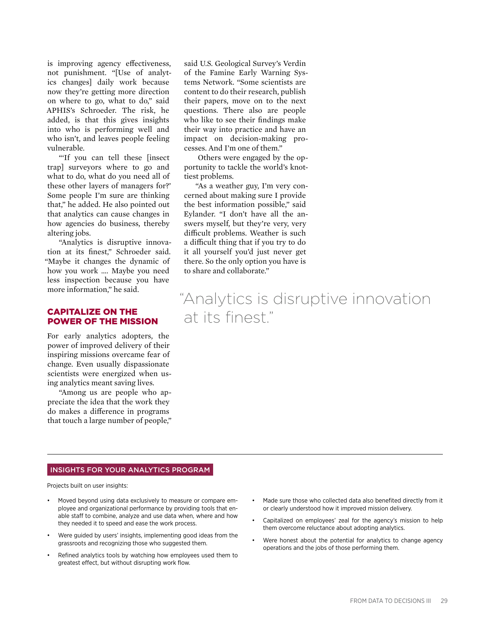is improving agency effectiveness, not punishment. "[Use of analytics changes] daily work because now they're getting more direction on where to go, what to do," said APHIS's Schroeder. The risk, he added, is that this gives insights into who is performing well and who isn't, and leaves people feeling vulnerable.

"'If you can tell these [insect trap] surveyors where to go and what to do, what do you need all of these other layers of managers for?' Some people I'm sure are thinking that," he added. He also pointed out that analytics can cause changes in how agencies do business, thereby altering jobs.

"Analytics is disruptive innovation at its finest," Schroeder said. "Maybe it changes the dynamic of how you work …. Maybe you need less inspection because you have more information," he said.

#### Capitalize on the Power of the Mission

For early analytics adopters, the power of improved delivery of their inspiring missions overcame fear of change. Even usually dispassionate scientists were energized when using analytics meant saving lives.

"Among us are people who appreciate the idea that the work they do makes a difference in programs that touch a large number of people,"

said U.S. Geological Survey's Verdin of the Famine Early Warning Systems Network. "Some scientists are content to do their research, publish their papers, move on to the next questions. There also are people who like to see their findings make their way into practice and have an impact on decision-making processes. And I'm one of them."

Others were engaged by the opportunity to tackle the world's knottiest problems.

"As a weather guy, I'm very concerned about making sure I provide the best information possible," said Eylander. "I don't have all the answers myself, but they're very, very difficult problems. Weather is such a difficult thing that if you try to do it all yourself you'd just never get there. So the only option you have is to share and collaborate."

### "Analytics is disruptive innovation at its finest."

#### Insights for your analytics program

Projects built on user insights:

- Moved beyond using data exclusively to measure or compare employee and organizational performance by providing tools that enable staff to combine, analyze and use data when, where and how they needed it to speed and ease the work process.
- Were guided by users' insights, implementing good ideas from the grassroots and recognizing those who suggested them.
- Refined analytics tools by watching how employees used them to greatest effect, but without disrupting work flow.
- Made sure those who collected data also benefited directly from it or clearly understood how it improved mission delivery.
- Capitalized on employees' zeal for the agency's mission to help them overcome reluctance about adopting analytics.
- Were honest about the potential for analytics to change agency operations and the jobs of those performing them.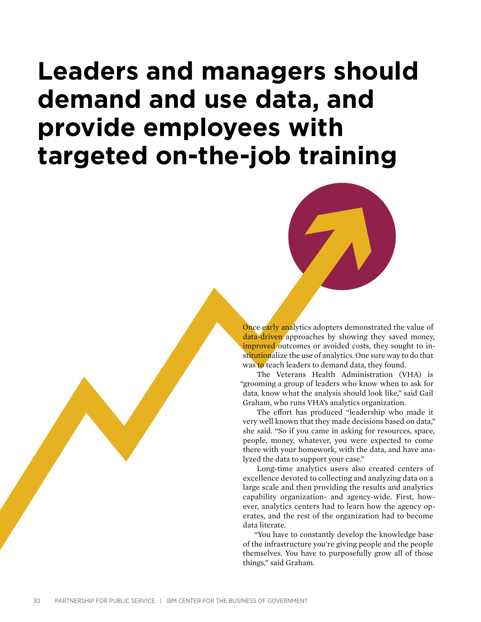## **Leaders and managers should demand and use data, and provide employees with targeted on-the-job training**



Once early analytics adopters demonstrated the value of data-driven approaches by showing they saved money, improved outcomes or avoided costs, they sought to institutionalize the use of analytics. One sure way to do that was to teach leaders to demand data, they found.

The Veterans Health Administration (VHA) is "grooming a group of leaders who know when to ask for data, know what the analysis should look like," said Gail Graham, who runs VHA's analytics organization.

The effort has produced "leadership who made it very well known that they made decisions based on data," she said. "So if you came in asking for resources, space, people, money, whatever, you were expected to come there with your homework, with the data, and have analyzed the data to support your case."

Long-time analytics users also created centers of excellence devoted to collecting and analyzing data on a large scale and then providing the results and analytics capability organization- and agency-wide. First, however, analytics centers had to learn how the agency operates, and the rest of the organization had to become data literate.

"You have to constantly develop the knowledge base of the infrastructure you're giving people and the people themselves. You have to purposefully grow all of those things," said Graham.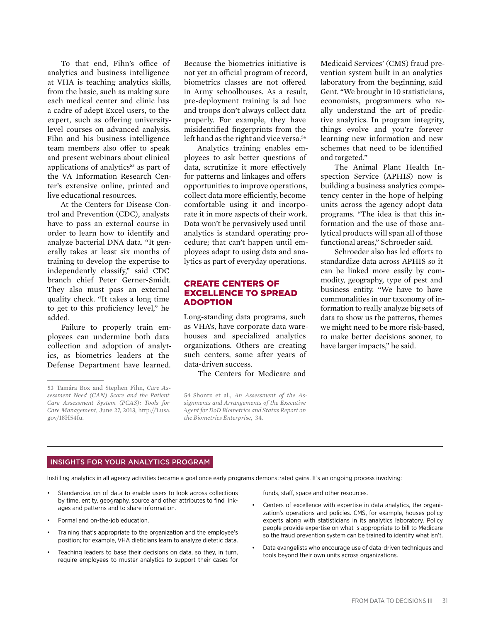To that end, Fihn's office of analytics and business intelligence at VHA is teaching analytics skills, from the basic, such as making sure each medical center and clinic has a cadre of adept Excel users, to the expert, such as offering universitylevel courses on advanced analysis. Fihn and his business intelligence team members also offer to speak and present webinars about clinical applications of analytics<sup>53</sup> as part of the VA Information Research Center's extensive online, printed and live educational resources.

At the Centers for Disease Control and Prevention (CDC), analysts have to pass an external course in order to learn how to identify and analyze bacterial DNA data. "It generally takes at least six months of training to develop the expertise to independently classify," said CDC branch chief Peter Gerner-Smidt. They also must pass an external quality check. "It takes a long time to get to this proficiency level," he added.

Failure to properly train employees can undermine both data collection and adoption of analytics, as biometrics leaders at the Defense Department have learned.

Because the biometrics initiative is not yet an official program of record, biometrics classes are not offered in Army schoolhouses. As a result, pre-deployment training is ad hoc and troops don't always collect data properly. For example, they have misidentified fingerprints from the left hand as the right and vice versa.<sup>54</sup>

Analytics training enables employees to ask better questions of data, scrutinize it more effectively for patterns and linkages and offers opportunities to improve operations, collect data more efficiently, become comfortable using it and incorporate it in more aspects of their work. Data won't be pervasively used until analytics is standard operating procedure; that can't happen until employees adapt to using data and analytics as part of everyday operations.

#### Create Centers of Excellence to Spread **ADOPTION**

Long-standing data programs, such as VHA's, have corporate data warehouses and specialized analytics organizations. Others are creating such centers, some after years of data-driven success.

The Centers for Medicare and

54 Shontz et al., *An Assessment of the Assignments and Arrangements of the Executive Agent for DoD Biometrics and Status Report on the Biometrics Enterprise*, 34.

Medicaid Services' (CMS) fraud prevention system built in an analytics laboratory from the beginning, said Gent. "We brought in 10 statisticians, economists, programmers who really understand the art of predictive analytics. In program integrity, things evolve and you're forever learning new information and new schemes that need to be identified and targeted."

The Animal Plant Health Inspection Service (APHIS) now is building a business analytics competency center in the hope of helping units across the agency adopt data programs. "The idea is that this information and the use of those analytical products will span all of those functional areas," Schroeder said.

Schroeder also has led efforts to standardize data across APHIS so it can be linked more easily by commodity, geography, type of pest and business entity. "We have to have commonalities in our taxonomy of information to really analyze big sets of data to show us the patterns, themes we might need to be more risk-based, to make better decisions sooner, to have larger impacts," he said.

#### Insights for your analytics program

Instilling analytics in all agency activities became a goal once early programs demonstrated gains. It's an ongoing process involving:

- Standardization of data to enable users to look across collections by time, entity, geography, source and other attributes to find linkages and patterns and to share information.
- Formal and on-the-job education.
- Training that's appropriate to the organization and the employee's position; for example, VHA dieticians learn to analyze dietetic data.
- Teaching leaders to base their decisions on data, so they, in turn, require employees to muster analytics to support their cases for

funds, staff, space and other resources.

- Centers of excellence with expertise in data analytics, the organization's operations and policies. CMS, for example, houses policy experts along with statisticians in its analytics laboratory. Policy people provide expertise on what is appropriate to bill to Medicare so the fraud prevention system can be trained to identify what isn't.
- Data evangelists who encourage use of data-driven techniques and tools beyond their own units across organizations.

<sup>53</sup> Tamára Box and Stephen Fihn, *Care Assessment Need (CAN) Score and the Patient Care Assessment System (PCAS): Tools for Care Management,* June 27, 2013, http://1.usa. gov/18H54fu.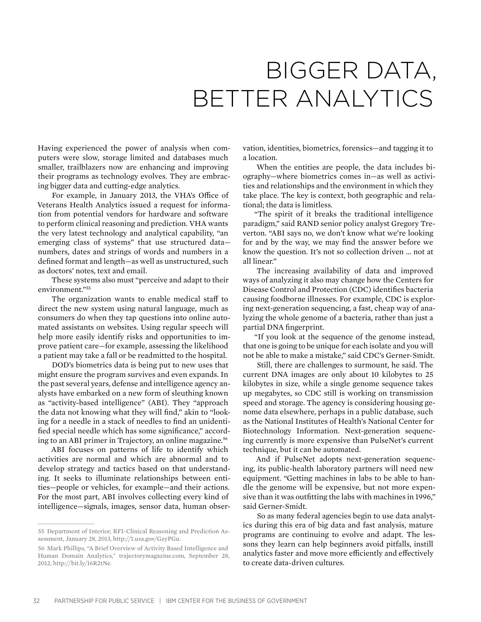## Bigger Data, Better Analytics

Having experienced the power of analysis when computers were slow, storage limited and databases much smaller, trailblazers now are enhancing and improving their programs as technology evolves. They are embracing bigger data and cutting-edge analytics.

For example, in January 2013, the VHA's Office of Veterans Health Analytics issued a request for information from potential vendors for hardware and software to perform clinical reasoning and prediction. VHA wants the very latest technology and analytical capability, "an emerging class of systems" that use structured data numbers, dates and strings of words and numbers in a defined format and length—as well as unstructured, such as doctors' notes, text and email.

These systems also must "perceive and adapt to their environment."55

The organization wants to enable medical staff to direct the new system using natural language, much as consumers do when they tap questions into online automated assistants on websites. Using regular speech will help more easily identify risks and opportunities to improve patient care—for example, assessing the likelihood a patient may take a fall or be readmitted to the hospital.

DOD's biometrics data is being put to new uses that might ensure the program survives and even expands. In the past several years, defense and intelligence agency analysts have embarked on a new form of sleuthing known as "activity-based intelligence" (ABI). They "approach the data not knowing what they will find," akin to "looking for a needle in a stack of needles to find an unidentified special needle which has some significance," according to an ABI primer in Trajectory, an online magazine.<sup>56</sup>

ABI focuses on patterns of life to identify which activities are normal and which are abnormal and to develop strategy and tactics based on that understanding. It seeks to illuminate relationships between entities—people or vehicles, for example—and their actions. For the most part, ABI involves collecting every kind of intelligence—signals, images, sensor data, human observation, identities, biometrics, forensics—and tagging it to a location.

When the entities are people, the data includes biography—where biometrics comes in—as well as activities and relationships and the environment in which they take place. The key is context, both geographic and relational; the data is limitless.

"The spirit of it breaks the traditional intelligence paradigm," said RAND senior policy analyst Gregory Treverton. "ABI says no, we don't know what we're looking for and by the way, we may find the answer before we know the question. It's not so collection driven … not at all linear."

The increasing availability of data and improved ways of analyzing it also may change how the Centers for Disease Control and Protection (CDC) identifies bacteria causing foodborne illnesses. For example, CDC is exploring next-generation sequencing, a fast, cheap way of analyzing the whole genome of a bacteria, rather than just a partial DNA fingerprint.

"If you look at the sequence of the genome instead, that one is going to be unique for each isolate and you will not be able to make a mistake," said CDC's Gerner-Smidt.

Still, there are challenges to surmount, he said. The current DNA images are only about 10 kilobytes to 25 kilobytes in size, while a single genome sequence takes up megabytes, so CDC still is working on transmission speed and storage. The agency is considering housing genome data elsewhere, perhaps in a public database, such as the National Institutes of Health's National Center for Biotechnology Information. Next-generation sequencing currently is more expensive than PulseNet's current technique, but it can be automated.

And if PulseNet adopts next-generation sequencing, its public-health laboratory partners will need new equipment. "Getting machines in labs to be able to handle the genome will be expensive, but not more expensive than it was outfitting the labs with machines in 1996," said Gerner-Smidt.

So as many federal agencies begin to use data analytics during this era of big data and fast analysis, mature programs are continuing to evolve and adapt. The lessons they learn can help beginners avoid pitfalls, instill analytics faster and move more efficiently and effectively to create data-driven cultures.

<sup>55</sup> Department of Interior, RFI-Clinical Reasoning and Prediction Assessment, January 28, 2013, http://1.usa.gov/GzyPGu.

<sup>56</sup> Mark Phillips, "A Brief Overview of Activity Based Intelligence and Human Domain Analytics," trajectorymagazine.com, September 28, 2012, http://bit.ly/16R2tNe.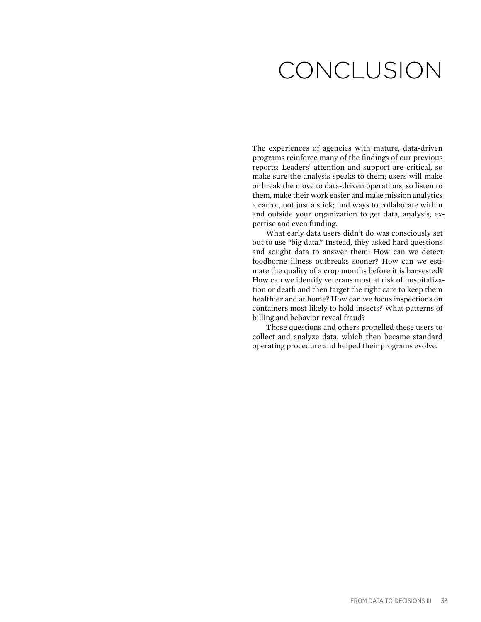## Conclusion

The experiences of agencies with mature, data-driven programs reinforce many of the findings of our previous reports: Leaders' attention and support are critical, so make sure the analysis speaks to them; users will make or break the move to data-driven operations, so listen to them, make their work easier and make mission analytics a carrot, not just a stick; find ways to collaborate within and outside your organization to get data, analysis, expertise and even funding.

What early data users didn't do was consciously set out to use "big data." Instead, they asked hard questions and sought data to answer them: How can we detect foodborne illness outbreaks sooner? How can we estimate the quality of a crop months before it is harvested? How can we identify veterans most at risk of hospitalization or death and then target the right care to keep them healthier and at home? How can we focus inspections on containers most likely to hold insects? What patterns of billing and behavior reveal fraud?

Those questions and others propelled these users to collect and analyze data, which then became standard operating procedure and helped their programs evolve.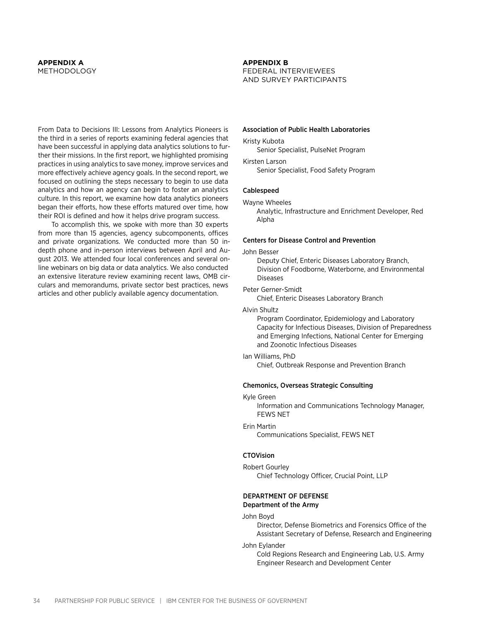#### **Appendix A** METHODOLOGY

From Data to Decisions III: Lessons from Analytics Pioneers is the third in a series of reports examining federal agencies that have been successful in applying data analytics solutions to further their missions. In the first report, we highlighted promising practices in using analytics to save money, improve services and more effectively achieve agency goals. In the second report, we focused on outlining the steps necessary to begin to use data analytics and how an agency can begin to foster an analytics culture. In this report, we examine how data analytics pioneers began their efforts, how these efforts matured over time, how their ROI is defined and how it helps drive program success.

To accomplish this, we spoke with more than 30 experts from more than 15 agencies, agency subcomponents, offices and private organizations. We conducted more than 50 indepth phone and in-person interviews between April and August 2013. We attended four local conferences and several online webinars on big data or data analytics. We also conducted an extensive literature review examining recent laws, OMB circulars and memorandums, private sector best practices, news articles and other publicly available agency documentation.

#### **Appendix B**

Federal Interviewees and Survey Participants

#### Association of Public Health Laboratories

Kristy Kubota

Senior Specialist, PulseNet Program

Kirsten Larson Senior Specialist, Food Safety Program

#### Cablespeed

Wayne Wheeles

Analytic, Infrastructure and Enrichment Developer, Red Alpha

#### Centers for Disease Control and Prevention

#### John Besser

Deputy Chief, Enteric Diseases Laboratory Branch, Division of Foodborne, Waterborne, and Environmental Diseases

#### Peter Gerner-Smidt

Chief, Enteric Diseases Laboratory Branch

Alvin Shultz

Program Coordinator, Epidemiology and Laboratory Capacity for Infectious Diseases, Division of Preparedness and Emerging Infections, National Center for Emerging and Zoonotic Infectious Diseases

#### Ian Williams, PhD

Chief, Outbreak Response and Prevention Branch

#### Chemonics, Overseas Strategic Consulting

Kyle Green

Information and Communications Technology Manager, FEWS NET

#### Erin Martin

Communications Specialist, FEWS NET

#### **CTOVision**

#### Robert Gourley Chief Technology Officer, Crucial Point, LLP

#### Department of Defense Department of the Army

#### John Boyd

Director, Defense Biometrics and Forensics Office of the Assistant Secretary of Defense, Research and Engineering

#### John Eylander

Cold Regions Research and Engineering Lab, U.S. Army Engineer Research and Development Center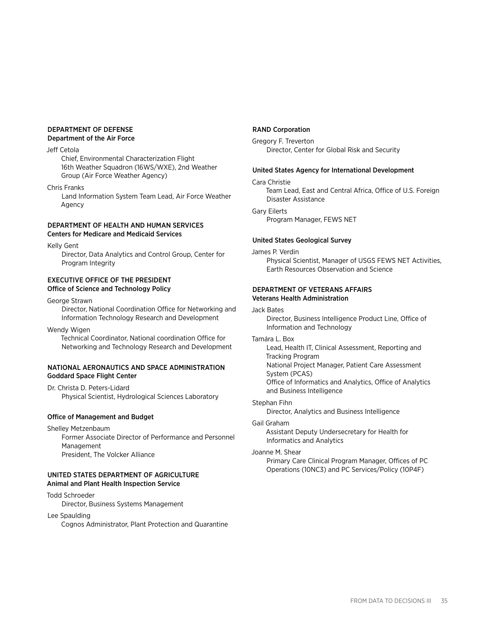#### Department of Defense Department of the Air Force

#### Jeff Cetola

Chief, Environmental Characterization Flight 16th Weather Squadron (16WS/WXE), 2nd Weather Group (Air Force Weather Agency)

Chris Franks

Land Information System Team Lead, Air Force Weather Agency

#### Department of Health and Human Services Centers for Medicare and Medicaid Services

Kelly Gent

Director, Data Analytics and Control Group, Center for Program Integrity

#### Executive Office of the President Office of Science and Technology Policy

George Strawn

Director, National Coordination Office for Networking and Information Technology Research and Development

Wendy Wigen

Technical Coordinator, National coordination Office for Networking and Technology Research and Development

#### National Aeronautics and Space Administration Goddard Space Flight Center

Dr. Christa D. Peters-Lidard Physical Scientist, Hydrological Sciences Laboratory

#### Office of Management and Budget

Shelley Metzenbaum

Former Associate Director of Performance and Personnel Management President, The Volcker Alliance

#### United States Department of Agriculture Animal and Plant Health Inspection Service

#### Todd Schroeder

Director, Business Systems Management

Lee Spaulding

Cognos Administrator, Plant Protection and Quarantine

#### RAND Corporation

Gregory F. Treverton

Director, Center for Global Risk and Security

#### United States Agency for International Development

Cara Christie

Team Lead, East and Central Africa, Office of U.S. Foreign Disaster Assistance

Gary Eilerts Program Manager, FEWS NET

#### United States Geological Survey

James P. Verdin

Physical Scientist, Manager of USGS FEWS NET Activities, Earth Resources Observation and Science

#### Department of Veterans Affairs Veterans Health Administration

#### Jack Bates

Director, Business Intelligence Product Line, Office of Information and Technology

#### Tamára L. Box

Lead, Health IT, Clinical Assessment, Reporting and Tracking Program

National Project Manager, Patient Care Assessment System (PCAS)

Office of Informatics and Analytics, Office of Analytics and Business Intelligence

#### Stephan Fihn

Director, Analytics and Business Intelligence

#### Gail Graham

Assistant Deputy Undersecretary for Health for Informatics and Analytics

#### Joanne M. Shear

Primary Care Clinical Program Manager, Offices of PC Operations (10NC3) and PC Services/Policy (10P4F)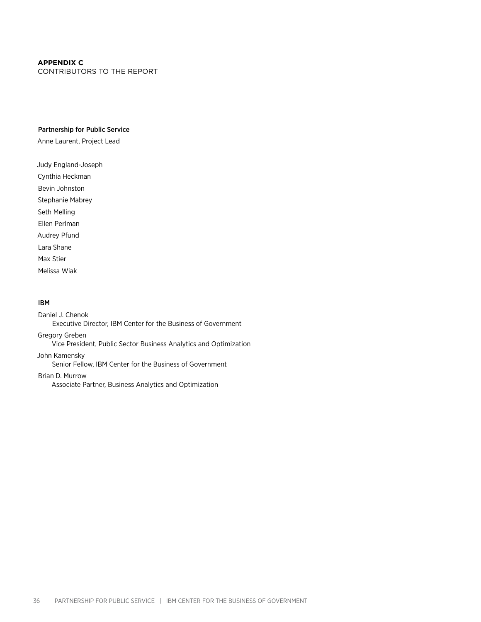#### **Appendix C**

Contributors to the Report

#### Partnership for Public Service

Anne Laurent, Project Lead

Judy England-Joseph Cynthia Heckman Bevin Johnston Stephanie Mabrey Seth Melling Ellen Perlman Audrey Pfund Lara Shane Max Stier Melissa Wiak

#### IBM

Daniel J. Chenok Executive Director, IBM Center for the Business of Government Gregory Greben Vice President, Public Sector Business Analytics and Optimization John Kamensky Senior Fellow, IBM Center for the Business of Government Brian D. Murrow Associate Partner, Business Analytics and Optimization